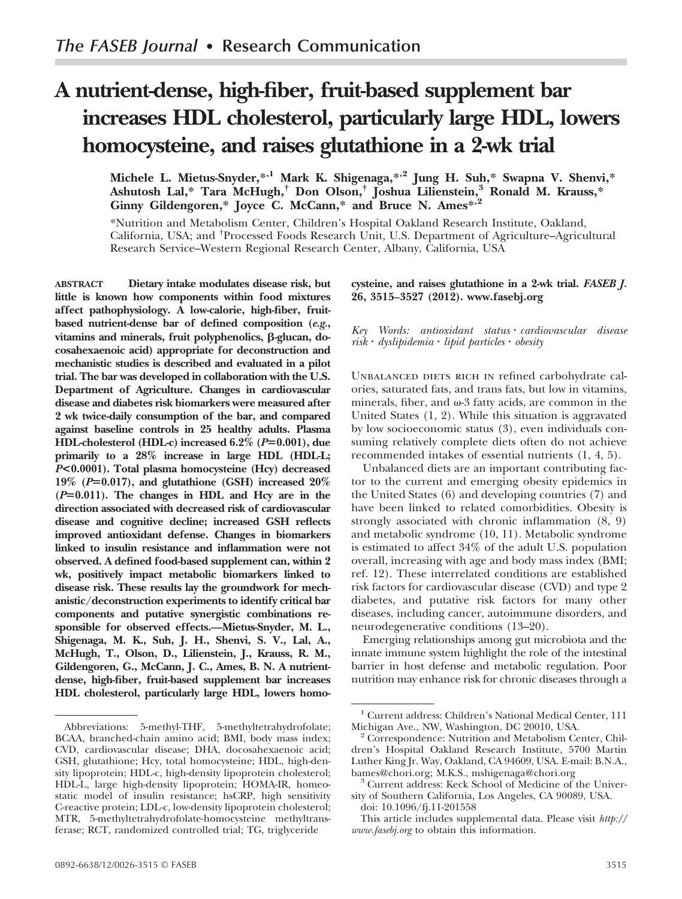# **A nutrient-dense, high-fiber, fruit-based supplement bar increases HDL cholesterol, particularly large HDL, lowers homocysteine, and raises glutathione in a 2-wk trial**

**Michele L. Mietus-Snyder,\*,1 Mark K. Shigenaga,\*,2 Jung H. Suh,\* Swapna V. Shenvi,\* Ashutosh Lal,\* Tara McHugh,† Don Olson,† Joshua Lilienstein,3 Ronald M. Krauss,\* Ginny Gildengoren,\* Joyce C. McCann,\* and Bruce N. Ames\*,2**

\*Nutrition and Metabolism Center, Children's Hospital Oakland Research Institute, Oakland, California, USA; and † Processed Foods Research Unit, U.S. Department of Agriculture–Agricultural Research Service–Western Regional Research Center, Albany, California, USA

**ABSTRACT Dietary intake modulates disease risk, but little is known how components within food mixtures affect pathophysiology. A low-calorie, high-fiber, fruitbased nutrient-dense bar of defined composition (***e.g.***,** vitamins and minerals, fruit polyphenolics, β-glucan, do**cosahexaenoic acid) appropriate for deconstruction and mechanistic studies is described and evaluated in a pilot trial. The bar was developed in collaboration with the U.S. Department of Agriculture. Changes in cardiovascular disease and diabetes risk biomarkers were measured after 2 wk twice-daily consumption of the bar, and compared against baseline controls in 25 healthy adults. Plasma HDL-cholesterol (HDL-c) increased 6.2% (***P*-**0.001), due primarily to a 28% increase in large HDL (HDL-L;** *P***<0.0001). Total plasma homocysteine (Hcy) decreased 19% (***P*-**0.017), and glutathione (GSH) increased 20% (***P*-**0.011). The changes in HDL and Hcy are in the direction associated with decreased risk of cardiovascular disease and cognitive decline; increased GSH reflects improved antioxidant defense. Changes in biomarkers linked to insulin resistance and inflammation were not observed. A defined food-based supplement can, within 2 wk, positively impact metabolic biomarkers linked to disease risk. These results lay the groundwork for mechanistic/deconstruction experiments to identify critical bar components and putative synergistic combinations responsible for observed effects.—Mietus-Snyder, M. L., Shigenaga, M. K., Suh, J. H., Shenvi, S. V., Lal, A., McHugh, T., Olson, D., Lilienstein, J., Krauss, R. M., Gildengoren, G., McCann, J. C., Ames, B. N. A nutrientdense, high-fiber, fruit-based supplement bar increases HDL cholesterol, particularly large HDL, lowers homo-**

# **cysteine, and raises glutathione in a 2-wk trial.** *FASEB J.* **26, 3515–3527 (2012).<www.fasebj.org>**

*Key Words: antioxidant status cardiovascular disease risk dyslipidemia lipid particles obesity*

UNBALANCED DIETS RICH IN refined carbohydrate calories, saturated fats, and trans fats, but low in vitamins, minerals, fiber, and  $\omega$ -3 fatty acids, are common in the United States (1, 2). While this situation is aggravated by low socioeconomic status (3), even individuals consuming relatively complete diets often do not achieve recommended intakes of essential nutrients (1, 4, 5).

Unbalanced diets are an important contributing factor to the current and emerging obesity epidemics in the United States (6) and developing countries (7) and have been linked to related comorbidities. Obesity is strongly associated with chronic inflammation (8, 9) and metabolic syndrome (10, 11). Metabolic syndrome is estimated to affect 34% of the adult U.S. population overall, increasing with age and body mass index (BMI; ref. 12). These interrelated conditions are established risk factors for cardiovascular disease (CVD) and type 2 diabetes, and putative risk factors for many other diseases, including cancer, autoimmune disorders, and neurodegenerative conditions (13–20).

Emerging relationships among gut microbiota and the innate immune system highlight the role of the intestinal barrier in host defense and metabolic regulation. Poor nutrition may enhance risk for chronic diseases through a

Abbreviations: 5-methyl-THF, 5-methyltetrahydrofolate; BCAA, branched-chain amino acid; BMI, body mass index; CVD, cardiovascular disease; DHA, docosahexaenoic acid; GSH, glutathione; Hcy, total homocysteine; HDL, high-density lipoprotein; HDL-c, high-density lipoprotein cholesterol; HDL-L, large high-density lipoprotein; HOMA-IR, homeostatic model of insulin resistance; hsCRP, high sensitivity C-reactive protein; LDL-c, low-density lipoprotein cholesterol; MTR, 5-methyltetrahydrofolate-homocysteine methyltransferase; RCT, randomized controlled trial; TG, triglyceride

<sup>&</sup>lt;sup>1</sup> Current address: Children's National Medical Center, 111 Michigan Ave., NW, Washington, DC 20010, USA.

Correspondence: Nutrition and Metabolism Center, Children's Hospital Oakland Research Institute, 5700 Martin Luther King Jr. Way, Oakland, CA 94609, USA. E-mail: B.N.A., bames@chori.org; M.K.S., mshigenaga@chori.org

<sup>&</sup>lt;sup>3</sup> Current address: Keck School of Medicine of the University of Southern California, Los Angeles, CA 90089, USA.

doi: 10.1096/fj.11-201558

This article includes supplemental data. Please visit *[http://](http://www.fasebj.org) [www.fasebj.org](http://www.fasebj.org)* to obtain this information.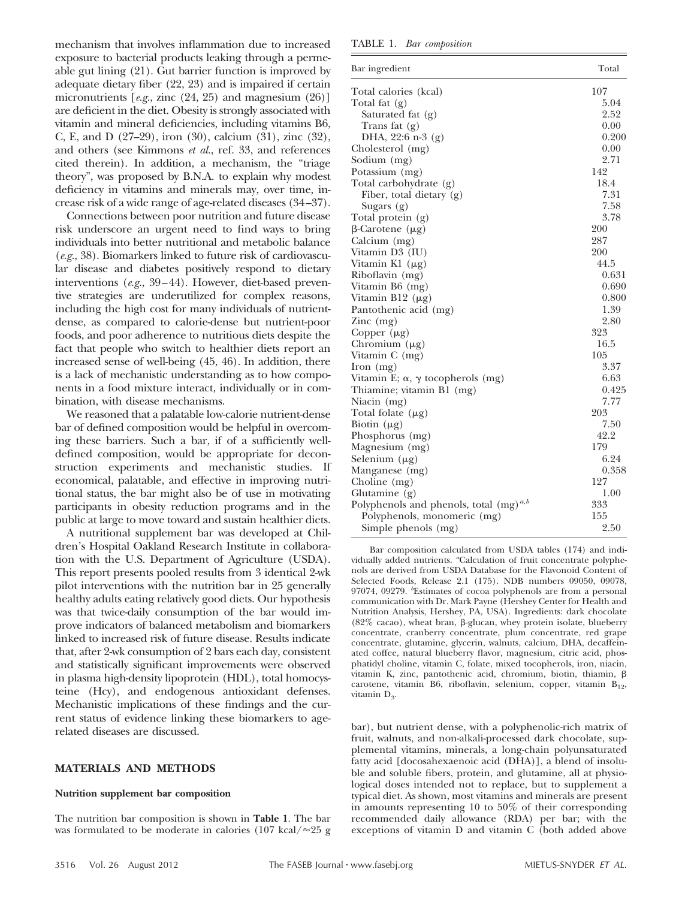mechanism that involves inflammation due to increased exposure to bacterial products leaking through a permeable gut lining (21). Gut barrier function is improved by adequate dietary fiber (22, 23) and is impaired if certain micronutrients [*e.g.*, zinc (24, 25) and magnesium (26)] are deficient in the diet. Obesity is strongly associated with vitamin and mineral deficiencies, including vitamins B6, C, E, and D (27–29), iron (30), calcium (31), zinc (32), and others (see Kimmons *et al.*, ref. 33, and references cited therein). In addition, a mechanism, the "triage theory", was proposed by B.N.A. to explain why modest deficiency in vitamins and minerals may, over time, increase risk of a wide range of age-related diseases (34–37).

Connections between poor nutrition and future disease risk underscore an urgent need to find ways to bring individuals into better nutritional and metabolic balance (*e.g.*, 38). Biomarkers linked to future risk of cardiovascular disease and diabetes positively respond to dietary interventions (*e.g.*, 39–44). However, diet-based preventive strategies are underutilized for complex reasons, including the high cost for many individuals of nutrientdense, as compared to calorie-dense but nutrient-poor foods, and poor adherence to nutritious diets despite the fact that people who switch to healthier diets report an increased sense of well-being (45, 46). In addition, there is a lack of mechanistic understanding as to how components in a food mixture interact, individually or in combination, with disease mechanisms.

We reasoned that a palatable low-calorie nutrient-dense bar of defined composition would be helpful in overcoming these barriers. Such a bar, if of a sufficiently welldefined composition, would be appropriate for deconstruction experiments and mechanistic studies. If economical, palatable, and effective in improving nutritional status, the bar might also be of use in motivating participants in obesity reduction programs and in the public at large to move toward and sustain healthier diets.

A nutritional supplement bar was developed at Children's Hospital Oakland Research Institute in collaboration with the U.S. Department of Agriculture (USDA). This report presents pooled results from 3 identical 2-wk pilot interventions with the nutrition bar in 25 generally healthy adults eating relatively good diets. Our hypothesis was that twice-daily consumption of the bar would improve indicators of balanced metabolism and biomarkers linked to increased risk of future disease. Results indicate that, after 2-wk consumption of 2 bars each day, consistent and statistically significant improvements were observed in plasma high-density lipoprotein (HDL), total homocysteine (Hcy), and endogenous antioxidant defenses. Mechanistic implications of these findings and the current status of evidence linking these biomarkers to agerelated diseases are discussed.

## **MATERIALS AND METHODS**

## **Nutrition supplement bar composition**

The nutrition bar composition is shown in **Table 1**. The bar was formulated to be moderate in calories  $(107 \text{ kcal}/\approx 25 \text{ g})$ 

TABLE 1. *Bar composition*

| Bar ingredient                                     | Total |
|----------------------------------------------------|-------|
| Total calories (kcal)                              | 107   |
| Total fat $(g)$                                    | 5.04  |
| Saturated fat (g)                                  | 2.52  |
| Trans fat (g)                                      | 0.00  |
| DHA, 22:6 n-3 (g)                                  | 0.200 |
| Cholesterol (mg)                                   | 0.00  |
| Sodium (mg)                                        | 2.71  |
| Potassium (mg)                                     | 142   |
| Total carbohydrate (g)                             | 18.4  |
| Fiber, total dietary (g)                           | 7.31  |
| Sugars (g)                                         | 7.58  |
| Total protein (g)                                  | 3.78  |
| $β$ -Carotene (μg)                                 | 200   |
| Calcium (mg)                                       | 287   |
| Vitamin D3 (IU)                                    | 200   |
| Vitamin K1 (µg)                                    | 44.5  |
| Riboflavin (mg)                                    | 0.631 |
| Vitamin B6 (mg)                                    | 0.690 |
| Vitamin B12 $(\mu g)$                              | 0.800 |
| Pantothenic acid (mg)                              | 1.39  |
| $\rm Zinc$ (mg)                                    | 2.80  |
| Copper $(\mu g)$                                   | 323   |
| Chromium $(\mu g)$                                 | 16.5  |
| Vitamin C (mg)                                     | 105   |
| $\ln m$ (mg)                                       | 3.37  |
| Vitamin E; $\alpha$ , $\gamma$ tocopherols (mg)    | 6.63  |
| Thiamine; vitamin B1 (mg)                          | 0.425 |
| Niacin (mg)                                        | 7.77  |
| Total folate $(\mu g)$                             | 203   |
| Biotin $(\mu g)$                                   | 7.50  |
| Phosphorus (mg)                                    | 42.2  |
| Magnesium (mg)                                     | 179   |
| Selenium (µg)                                      | 6.24  |
| Manganese (mg)                                     | 0.358 |
| Choline (mg)                                       | 127   |
| Glutamine (g)                                      | 1.00  |
| Polyphenols and phenols, total (mg) <sup>a,b</sup> | 333   |
| Polyphenols, monomeric (mg)                        | 155   |
| Simple phenols (mg)                                | 2.50  |

Bar composition calculated from USDA tables (174) and individually added nutrients. *<sup>a</sup>* Calculation of fruit concentrate polyphenols are derived from USDA Database for the Flavonoid Content of Selected Foods, Release 2.1 (175). NDB numbers 09050, 09078, 97074, 09279. *b*Estimates of cocoa polyphenols are from a personal communication with Dr. Mark Payne (Hershey Center for Health and Nutrition Analysis, Hershey, PA, USA). Ingredients: dark chocolate (82% cacao), wheat bran,  $\beta$ -glucan, whey protein isolate, blueberry concentrate, cranberry concentrate, plum concentrate, red grape concentrate, glutamine, glycerin, walnuts, calcium, DHA, decaffeinated coffee, natural blueberry flavor, magnesium, citric acid, phosphatidyl choline, vitamin C, folate, mixed tocopherols, iron, niacin, vitamin K, zinc, pantothenic acid, chromium, biotin, thiamin, carotene, vitamin B6, riboflavin, selenium, copper, vitamin B<sub>12</sub>, vitamin D<sub>2</sub>.

bar), but nutrient dense, with a polyphenolic-rich matrix of fruit, walnuts, and non-alkali-processed dark chocolate, supplemental vitamins, minerals, a long-chain polyunsaturated fatty acid [docosahexaenoic acid (DHA)], a blend of insoluble and soluble fibers, protein, and glutamine, all at physiological doses intended not to replace, but to supplement a typical diet. As shown, most vitamins and minerals are present in amounts representing 10 to 50% of their corresponding recommended daily allowance (RDA) per bar; with the exceptions of vitamin D and vitamin C (both added above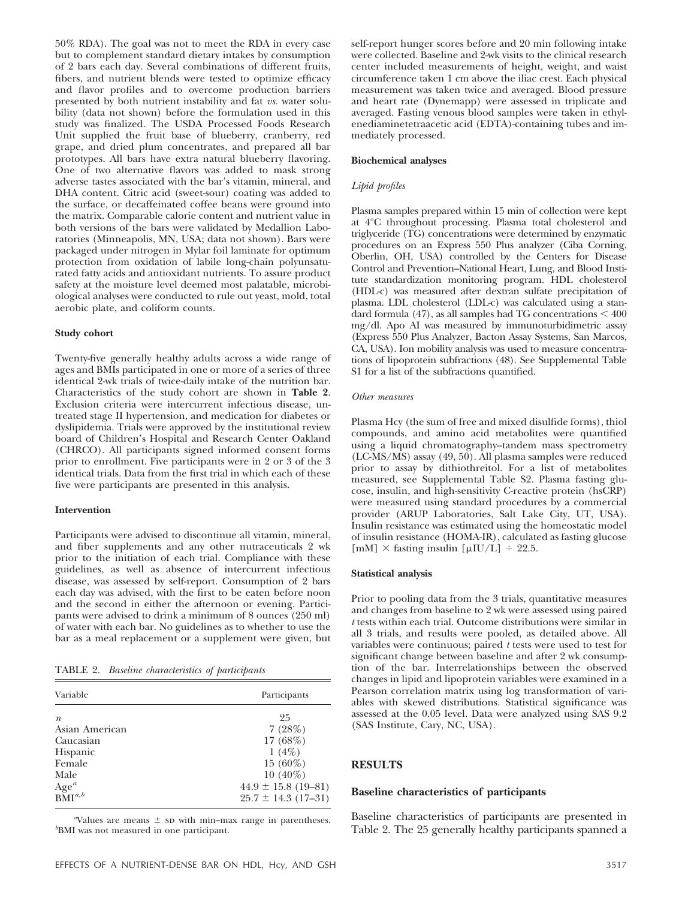50% RDA). The goal was not to meet the RDA in every case but to complement standard dietary intakes by consumption of 2 bars each day. Several combinations of different fruits, fibers, and nutrient blends were tested to optimize efficacy and flavor profiles and to overcome production barriers presented by both nutrient instability and fat *vs.* water solubility (data not shown) before the formulation used in this study was finalized. The USDA Processed Foods Research Unit supplied the fruit base of blueberry, cranberry, red grape, and dried plum concentrates, and prepared all bar prototypes. All bars have extra natural blueberry flavoring. One of two alternative flavors was added to mask strong adverse tastes associated with the bar's vitamin, mineral, and DHA content. Citric acid (sweet-sour) coating was added to the surface, or decaffeinated coffee beans were ground into the matrix. Comparable calorie content and nutrient value in both versions of the bars were validated by Medallion Laboratories (Minneapolis, MN, USA; data not shown). Bars were packaged under nitrogen in Mylar foil laminate for optimum protection from oxidation of labile long-chain polyunsaturated fatty acids and antioxidant nutrients. To assure product safety at the moisture level deemed most palatable, microbiological analyses were conducted to rule out yeast, mold, total aerobic plate, and coliform counts.

#### **Study cohort**

Twenty-five generally healthy adults across a wide range of ages and BMIs participated in one or more of a series of three identical 2-wk trials of twice-daily intake of the nutrition bar. Characteristics of the study cohort are shown in **Table 2**. Exclusion criteria were intercurrent infectious disease, untreated stage II hypertension, and medication for diabetes or dyslipidemia. Trials were approved by the institutional review board of Children's Hospital and Research Center Oakland (CHRCO). All participants signed informed consent forms prior to enrollment. Five participants were in 2 or 3 of the 3 identical trials. Data from the first trial in which each of these five were participants are presented in this analysis.

#### **Intervention**

Participants were advised to discontinue all vitamin, mineral, and fiber supplements and any other nutraceuticals 2 wk prior to the initiation of each trial. Compliance with these guidelines, as well as absence of intercurrent infectious disease, was assessed by self-report. Consumption of 2 bars each day was advised, with the first to be eaten before noon and the second in either the afternoon or evening. Participants were advised to drink a minimum of 8 ounces (250 ml) of water with each bar. No guidelines as to whether to use the bar as a meal replacement or a supplement were given, but

TABLE 2. *Baseline characteristics of participants*

| Variable                                                                 | Participants            |
|--------------------------------------------------------------------------|-------------------------|
| $\boldsymbol{n}$                                                         | 25                      |
| Asian American                                                           | 7(28%)                  |
| Caucasian                                                                | $17(68\%)$              |
| Hispanic                                                                 | $1(4\%)$                |
| Female                                                                   | $15(60\%)$              |
| Male                                                                     | $10(40\%)$              |
|                                                                          | $44.9 \pm 15.8$ (19-81) |
| $\operatorname*{Age}\nolimits^{a} \\ \operatorname*{BMI}\nolimits^{a,b}$ | $25.7 \pm 14.3$ (17-31) |

<sup>*a*</sup>Values are means  $\pm$  sp with min–max range in parentheses.  $\frac{b}{2}$ PMI was not measured in one participant. BMI was not measured in one participant.

self-report hunger scores before and 20 min following intake were collected. Baseline and 2-wk visits to the clinical research center included measurements of height, weight, and waist circumference taken 1 cm above the iliac crest. Each physical measurement was taken twice and averaged. Blood pressure and heart rate (Dynemapp) were assessed in triplicate and averaged. Fasting venous blood samples were taken in ethylenediaminetetraacetic acid (EDTA)-containing tubes and immediately processed.

#### **Biochemical analyses**

#### *Lipid profiles*

Plasma samples prepared within 15 min of collection were kept at 4°C throughout processing. Plasma total cholesterol and triglyceride (TG) concentrations were determined by enzymatic procedures on an Express 550 Plus analyzer (Ciba Corning, Oberlin, OH, USA) controlled by the Centers for Disease Control and Prevention–National Heart, Lung, and Blood Institute standardization monitoring program. HDL cholesterol (HDL-c) was measured after dextran sulfate precipitation of plasma. LDL cholesterol (LDL-c) was calculated using a standard formula  $(47)$ , as all samples had TG concentrations  $\leq 400$ mg/dl. Apo AI was measured by immunoturbidimetric assay (Express 550 Plus Analyzer, Bacton Assay Systems, San Marcos, CA, USA). Ion mobility analysis was used to measure concentrations of lipoprotein subfractions (48). See Supplemental Table S1 for a list of the subfractions quantified.

#### *Other measures*

Plasma Hcy (the sum of free and mixed disulfide forms), thiol compounds, and amino acid metabolites were quantified using a liquid chromatography–tandem mass spectrometry (LC-MS/MS) assay (49, 50). All plasma samples were reduced prior to assay by dithiothreitol. For a list of metabolites measured, see Supplemental Table S2. Plasma fasting glucose, insulin, and high-sensitivity C-reactive protein (hsCRP) were measured using standard procedures by a commercial provider (ARUP Laboratories, Salt Lake City, UT, USA). Insulin resistance was estimated using the homeostatic model of insulin resistance (HOMA-IR), calculated as fasting glucose [mM]  $\times$  fasting insulin [ $\mu$ IU/L]  $\div$  22.5.

#### **Statistical analysis**

Prior to pooling data from the 3 trials, quantitative measures and changes from baseline to 2 wk were assessed using paired *t* tests within each trial. Outcome distributions were similar in all 3 trials, and results were pooled, as detailed above. All variables were continuous; paired *t* tests were used to test for significant change between baseline and after 2 wk consumption of the bar. Interrelationships between the observed changes in lipid and lipoprotein variables were examined in a Pearson correlation matrix using log transformation of variables with skewed distributions. Statistical significance was assessed at the 0.05 level. Data were analyzed using SAS 9.2 (SAS Institute, Cary, NC, USA).

#### **RESULTS**

#### **Baseline characteristics of participants**

Baseline characteristics of participants are presented in Table 2. The 25 generally healthy participants spanned a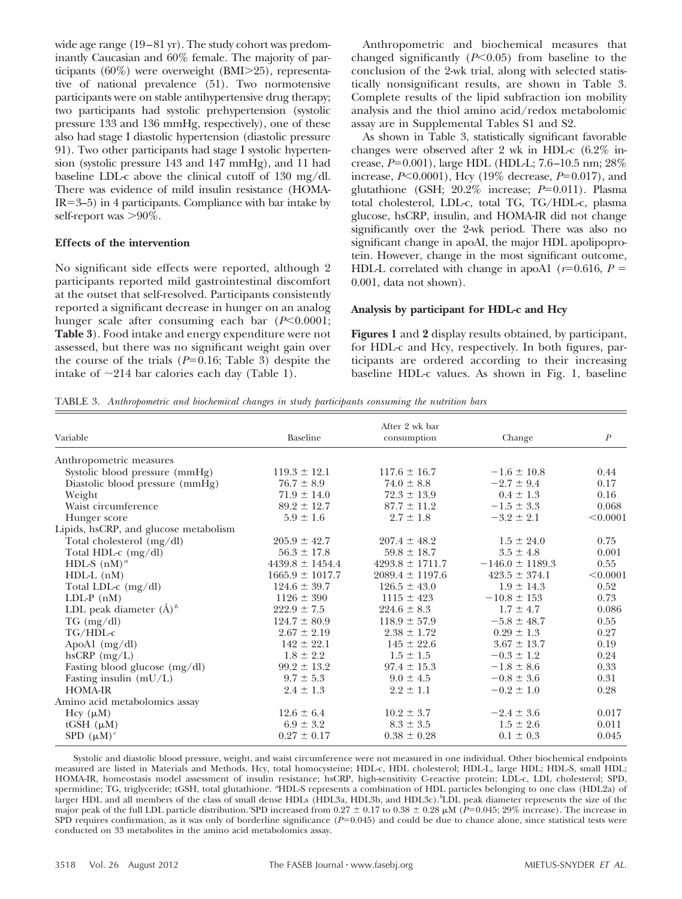wide age range (19–81 yr). The study cohort was predominantly Caucasian and 60% female. The majority of participants (60%) were overweight (BMI $>$ 25), representative of national prevalence (51). Two normotensive participants were on stable antihypertensive drug therapy; two participants had systolic prehypertension (systolic pressure 133 and 136 mmHg, respectively), one of these also had stage I diastolic hypertension (diastolic pressure 91). Two other participants had stage I systolic hypertension (systolic pressure 143 and 147 mmHg), and 11 had baseline LDL-c above the clinical cutoff of 130 mg/dl. There was evidence of mild insulin resistance (HOMA- $IR = 3-5$ ) in 4 participants. Compliance with bar intake by self-report was  $>90\%$ .

## **Effects of the intervention**

No significant side effects were reported, although 2 participants reported mild gastrointestinal discomfort at the outset that self-resolved. Participants consistently reported a significant decrease in hunger on an analog hunger scale after consuming each bar ( $P<0.0001$ ; **Table 3**). Food intake and energy expenditure were not assessed, but there was no significant weight gain over the course of the trials  $(P=0.16;$  Table 3) despite the intake of  $\sim$ 214 bar calories each day (Table 1).

Anthropometric and biochemical measures that changed significantly  $(P<0.05)$  from baseline to the conclusion of the 2-wk trial, along with selected statistically nonsignificant results, are shown in Table 3. Complete results of the lipid subfraction ion mobility analysis and the thiol amino acid/redox metabolomic assay are in Supplemental Tables S1 and S2.

As shown in Table 3, statistically significant favorable changes were observed after 2 wk in HDL-c (6.2% increase, *P*=0.001), large HDL (HDL-L; 7.6-10.5 nm; 28% increase,  $P<0.0001$ ), Hcy (19% decrease,  $P=0.017$ ), and glutathione (GSH; 20.2% increase; *P*=0.011). Plasma total cholesterol, LDL-c, total TG, TG/HDL-c, plasma glucose, hsCRP, insulin, and HOMA-IR did not change significantly over the 2-wk period. There was also no significant change in apoAI, the major HDL apolipoprotein. However, change in the most significant outcome, HDL-L correlated with change in apoA1 ( $r=0.616$ ,  $P=$ 0.001, data not shown).

# **Analysis by participant for HDL-c and Hcy**

**Figures 1** and **2** display results obtained, by participant, for HDL-c and Hcy, respectively. In both figures, participants are ordered according to their increasing baseline HDL-c values. As shown in Fig. 1, baseline

TABLE 3. *Anthropometric and biochemical changes in study participants consuming the nutrition bars*

|                                       |                     | After 2 wk bar      |                     |                  |  |
|---------------------------------------|---------------------|---------------------|---------------------|------------------|--|
| Variable                              | Baseline            | consumption         | Change              | $\boldsymbol{P}$ |  |
| Anthropometric measures               |                     |                     |                     |                  |  |
| Systolic blood pressure (mmHg)        | $119.3 \pm 12.1$    | $117.6 \pm 16.7$    | $-1.6 \pm 10.8$     | 0.44             |  |
| Diastolic blood pressure (mmHg)       | $76.7 \pm 8.9$      | $74.0 \pm 8.8$      | $-2.7 \pm 9.4$      | 0.17             |  |
| Weight                                | $71.9 \pm 14.0$     | $72.3 \pm 13.9$     | $0.4 \pm 1.3$       | 0.16             |  |
| Waist circumference                   | $89.2 \pm 12.7$     | $87.7 \pm 11.2$     | $-1.5 \pm 3.3$      | 0.068            |  |
| Hunger score                          | $5.9 \pm 1.6$       | $2.7 \pm 1.8$       | $-3.2 \pm 2.1$      | < 0.0001         |  |
| Lipids, hsCRP, and glucose metabolism |                     |                     |                     |                  |  |
| Total cholesterol (mg/dl)             | $205.9 \pm 42.7$    | $207.4 \pm 48.2$    | $1.5 \pm 24.0$      | 0.75             |  |
| Total HDL-c (mg/dl)                   | $56.3 \pm 17.8$     | $59.8 \pm 18.7$     | $3.5 \pm 4.8$       | 0.001            |  |
| HDL-S $(nM)^a$                        | $4439.8 \pm 1454.4$ | $4293.8 \pm 1711.7$ | $-146.0 \pm 1189.3$ | 0.55             |  |
| $HDL-L$ (nM)                          | $1665.9 \pm 1017.7$ | $2089.4 \pm 1197.6$ | $423.5 \pm 374.1$   | < 0.0001         |  |
| Total LDL-c (mg/dl)                   | $124.6 \pm 39.7$    | $126.5 \pm 43.0$    | $1.9 \pm 14.3$      | 0.52             |  |
| $LDL-P(nM)$                           | $1126 \pm 390$      | $1115 \pm 423$      | $-10.8 \pm 153$     | 0.73             |  |
| LDL peak diameter $(\AA)^b$           | $222.9 \pm 7.5$     | $224.6 \pm 8.3$     | $1.7 \pm 4.7$       | 0.086            |  |
| $TG \, (mg/dl)$                       | $124.7 \pm 80.9$    | $118.9 \pm 57.9$    | $-5.8 \pm 48.7$     | 0.55             |  |
| TG/HDL-c                              | $2.67 \pm 2.19$     | $2.38 \pm 1.72$     | $0.29 \pm 1.3$      | 0.27             |  |
| ApoA1 $(mg/dl)$                       | $142 \pm 22.1$      | $145 \pm 22.6$      | $3.67 \pm 13.7$     | 0.19             |  |
| $h\overline{sCRP}$ (mg/L)             | $1.8 \pm 2.2$       | $1.5 \pm 1.5$       | $-0.3 \pm 1.2$      | 0.24             |  |
| Fasting blood glucose (mg/dl)         | $99.2 \pm 13.2$     | $97.4 \pm 15.3$     | $-1.8 \pm 8.6$      | 0.33             |  |
| Fasting insulin (mU/L)                | $9.7 \pm 5.3$       | $9.0 \pm 4.5$       | $-0.8 \pm 3.6$      | 0.31             |  |
| <b>HOMA-IR</b>                        | $2.4 \pm 1.3$       | $2.2 \pm 1.1$       | $-0.2 \pm 1.0$      | 0.28             |  |
| Amino acid metabolomics assay         |                     |                     |                     |                  |  |
| $Hcy (\mu M)$                         | $12.6 \pm 6.4$      | $10.2 \pm 3.7$      | $-2.4 \pm 3.6$      | 0.017            |  |
| tGSH $(\mu M)$                        | $6.9 \pm 3.2$       | $8.3 \pm 3.5$       | $1.5 \pm 2.6$       | 0.011            |  |
| SPD $(\mu M)^c$                       | $0.27 \pm 0.17$     | $0.38 \pm 0.28$     | $0.1 \pm 0.3$       | 0.045            |  |

Systolic and diastolic blood pressure, weight, and waist circumference were not measured in one individual. Other biochemical endpoints measured are listed in Materials and Methods. Hcy, total homocysteine; HDL-c, HDL cholesterol; HDL-L, large HDL; HDL-S, small HDL; HOMA-IR, homeostasis model assessment of insulin resistance; hsCRP, high-sensitivity C-reactive protein; LDL-c, LDL cholesterol; SPD, spermidine; TG, triglyceride; tGSH, total glutathione. "HDL-S represents a combination of HDL particles belonging to one class (HDL2a) of larger HDL and all members of the class of small dense HDLs (HDL3a, HDL3b, and HDL3c).<sup>*'*</sup>LDL peak diameter represents the size of the major peak of the full LDL particle distribution. SPD increased from  $0.27 \pm 0.17$  to  $0.38 \pm 0.28$   $\mu$ M ( $P=0.045$ ; 29% increase). The increase in SPD requires confirmation, as it was only of borderline significance  $(P=0.045)$  and could be due to chance alone, since statistical tests were conducted on 33 metabolites in the amino acid metabolomics assay.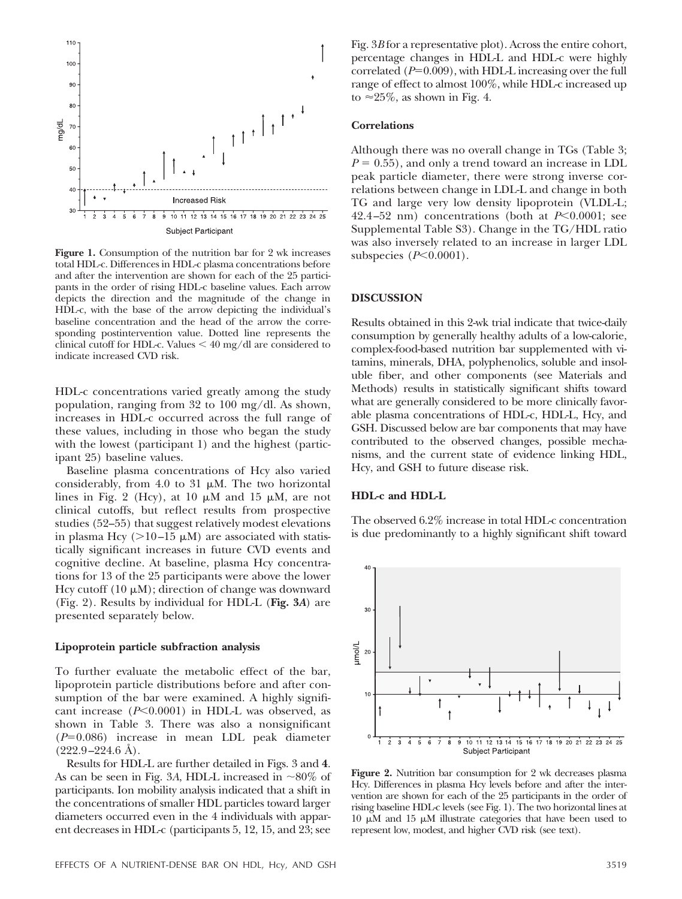

**Figure 1.** Consumption of the nutrition bar for 2 wk increases total HDL-c. Differences in HDL-c plasma concentrations before and after the intervention are shown for each of the 25 participants in the order of rising HDL-c baseline values. Each arrow depicts the direction and the magnitude of the change in HDL-c, with the base of the arrow depicting the individual's baseline concentration and the head of the arrow the corresponding postintervention value. Dotted line represents the clinical cutoff for HDL-c. Values  $\leq 40$  mg/dl are considered to indicate increased CVD risk.

HDL-c concentrations varied greatly among the study population, ranging from 32 to 100 mg/dl. As shown, increases in HDL-c occurred across the full range of these values, including in those who began the study with the lowest (participant 1) and the highest (participant 25) baseline values.

Baseline plasma concentrations of Hcy also varied considerably, from 4.0 to 31  $\mu$ M. The two horizontal lines in Fig. 2 (Hcy), at 10  $\mu$ M and 15  $\mu$ M, are not clinical cutoffs, but reflect results from prospective studies (52–55) that suggest relatively modest elevations in plasma Hcy  $(>10-15 \mu M)$  are associated with statistically significant increases in future CVD events and cognitive decline. At baseline, plasma Hcy concentrations for 13 of the 25 participants were above the lower Hcy cutoff  $(10 \mu M)$ ; direction of change was downward (Fig. 2). Results by individual for HDL-L (**Fig. 3***A*) are presented separately below.

#### **Lipoprotein particle subfraction analysis**

To further evaluate the metabolic effect of the bar, lipoprotein particle distributions before and after consumption of the bar were examined. A highly significant increase  $(P<0.0001)$  in HDL-L was observed, as shown in Table 3. There was also a nonsignificant  $(P=0.086)$  increase in mean LDL peak diameter  $(222.9 - 224.6 \text{ Å})$ .

Results for HDL-L are further detailed in Figs. 3 and **4**. As can be seen in Fig. 3A, HDL-L increased in  $\sim 80\%$  of participants. Ion mobility analysis indicated that a shift in the concentrations of smaller HDL particles toward larger diameters occurred even in the 4 individuals with apparent decreases in HDL-c (participants 5, 12, 15, and 23; see

#### **Correlations**

Although there was no overall change in TGs (Table 3;  $P = 0.55$ ), and only a trend toward an increase in LDL peak particle diameter, there were strong inverse correlations between change in LDL-L and change in both TG and large very low density lipoprotein (VLDL-L; 42.4–52 nm) concentrations (both at  $P<0.0001$ ; see Supplemental Table S3). Change in the TG/HDL ratio was also inversely related to an increase in larger LDL subspecies  $(P<0.0001)$ .

#### **DISCUSSION**

Results obtained in this 2-wk trial indicate that twice-daily consumption by generally healthy adults of a low-calorie, complex-food-based nutrition bar supplemented with vitamins, minerals, DHA, polyphenolics, soluble and insoluble fiber, and other components (see Materials and Methods) results in statistically significant shifts toward what are generally considered to be more clinically favorable plasma concentrations of HDL-c, HDL-L, Hcy, and GSH. Discussed below are bar components that may have contributed to the observed changes, possible mechanisms, and the current state of evidence linking HDL, Hcy, and GSH to future disease risk.

## **HDL-c and HDL-L**

The observed 6.2% increase in total HDL-c concentration is due predominantly to a highly significant shift toward



**Figure 2.** Nutrition bar consumption for 2 wk decreases plasma Hcy. Differences in plasma Hcy levels before and after the intervention are shown for each of the 25 participants in the order of rising baseline HDL-c levels (see Fig. 1). The two horizontal lines at 10  $\mu$ M and 15  $\mu$ M illustrate categories that have been used to represent low, modest, and higher CVD risk (see text).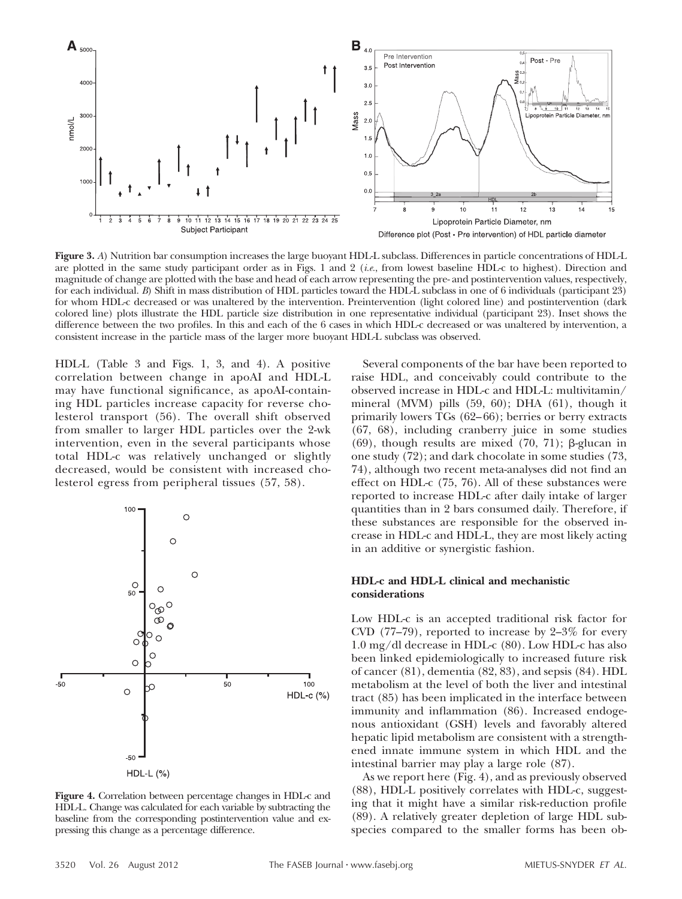

**Figure 3.** *A*) Nutrition bar consumption increases the large buoyant HDL-L subclass. Differences in particle concentrations of HDL-L are plotted in the same study participant order as in Figs. 1 and 2 (*i.e.*, from lowest baseline HDL-c to highest). Direction and magnitude of change are plotted with the base and head of each arrow representing the pre- and postintervention values, respectively, for each individual. *B*) Shift in mass distribution of HDL particles toward the HDL-L subclass in one of 6 individuals (participant 23) for whom HDL-c decreased or was unaltered by the intervention. Preintervention (light colored line) and postintervention (dark colored line) plots illustrate the HDL particle size distribution in one representative individual (participant 23). Inset shows the difference between the two profiles. In this and each of the 6 cases in which HDL-c decreased or was unaltered by intervention, a consistent increase in the particle mass of the larger more buoyant HDL-L subclass was observed.

HDL-L (Table 3 and Figs. 1, 3, and 4). A positive correlation between change in apoAI and HDL-L may have functional significance, as apoAI-containing HDL particles increase capacity for reverse cholesterol transport (56). The overall shift observed from smaller to larger HDL particles over the 2-wk intervention, even in the several participants whose total HDL-c was relatively unchanged or slightly decreased, would be consistent with increased cholesterol egress from peripheral tissues (57, 58).



**Figure 4.** Correlation between percentage changes in HDL-c and HDL-L. Change was calculated for each variable by subtracting the baseline from the corresponding postintervention value and expressing this change as a percentage difference.

Several components of the bar have been reported to raise HDL, and conceivably could contribute to the observed increase in HDL-c and HDL-L: multivitamin/ mineral (MVM) pills (59, 60); DHA (61), though it primarily lowers TGs (62–66); berries or berry extracts (67, 68), including cranberry juice in some studies (69), though results are mixed  $(70, 71)$ ;  $\beta$ -glucan in one study (72); and dark chocolate in some studies (73, 74), although two recent meta-analyses did not find an effect on HDL-c (75, 76). All of these substances were reported to increase HDL-c after daily intake of larger quantities than in 2 bars consumed daily. Therefore, if these substances are responsible for the observed increase in HDL-c and HDL-L, they are most likely acting in an additive or synergistic fashion.

## **HDL-c and HDL-L clinical and mechanistic considerations**

Low HDL-c is an accepted traditional risk factor for CVD (77–79), reported to increase by 2–3% for every 1.0 mg/dl decrease in HDL-c (80). Low HDL-c has also been linked epidemiologically to increased future risk of cancer (81), dementia (82, 83), and sepsis (84). HDL metabolism at the level of both the liver and intestinal tract (85) has been implicated in the interface between immunity and inflammation (86). Increased endogenous antioxidant (GSH) levels and favorably altered hepatic lipid metabolism are consistent with a strengthened innate immune system in which HDL and the intestinal barrier may play a large role (87).

As we report here (Fig. 4), and as previously observed (88), HDL-L positively correlates with HDL-c, suggesting that it might have a similar risk-reduction profile (89). A relatively greater depletion of large HDL subspecies compared to the smaller forms has been ob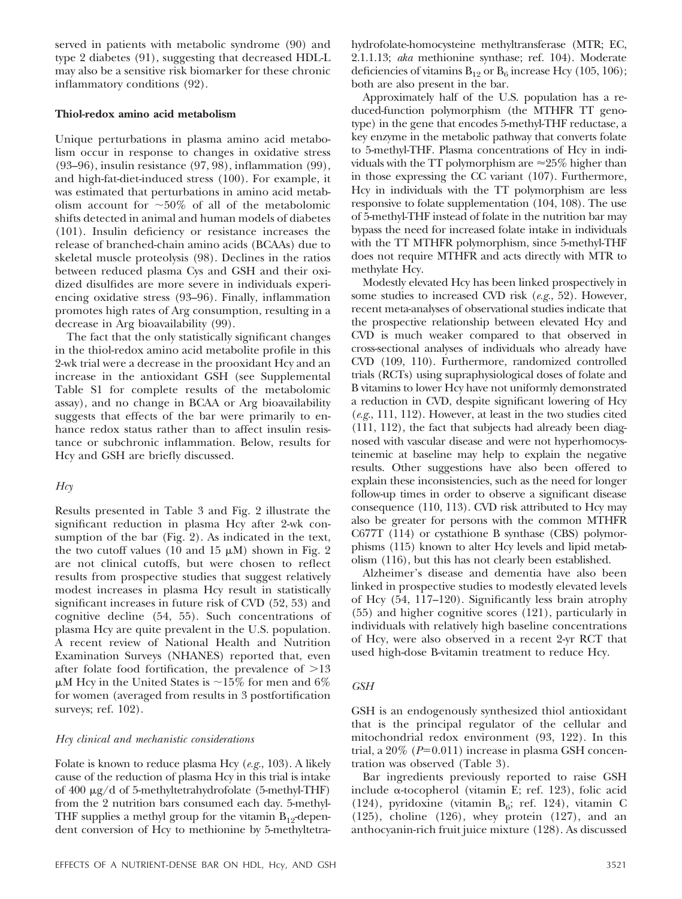served in patients with metabolic syndrome (90) and type 2 diabetes (91), suggesting that decreased HDL-L may also be a sensitive risk biomarker for these chronic inflammatory conditions (92).

## **Thiol-redox amino acid metabolism**

Unique perturbations in plasma amino acid metabolism occur in response to changes in oxidative stress (93–96), insulin resistance (97, 98), inflammation (99), and high-fat-diet-induced stress (100). For example, it was estimated that perturbations in amino acid metabolism account for  $\sim 50\%$  of all of the metabolomic shifts detected in animal and human models of diabetes (101). Insulin deficiency or resistance increases the release of branched-chain amino acids (BCAAs) due to skeletal muscle proteolysis (98). Declines in the ratios between reduced plasma Cys and GSH and their oxidized disulfides are more severe in individuals experiencing oxidative stress (93–96). Finally, inflammation promotes high rates of Arg consumption, resulting in a decrease in Arg bioavailability (99).

The fact that the only statistically significant changes in the thiol-redox amino acid metabolite profile in this 2-wk trial were a decrease in the prooxidant Hcy and an increase in the antioxidant GSH (see Supplemental Table S1 for complete results of the metabolomic assay), and no change in BCAA or Arg bioavailability suggests that effects of the bar were primarily to enhance redox status rather than to affect insulin resistance or subchronic inflammation. Below, results for Hcy and GSH are briefly discussed.

# *Hcy*

Results presented in Table 3 and Fig. 2 illustrate the significant reduction in plasma Hcy after 2-wk consumption of the bar (Fig. 2). As indicated in the text, the two cutoff values (10 and 15  $\mu$ M) shown in Fig. 2 are not clinical cutoffs, but were chosen to reflect results from prospective studies that suggest relatively modest increases in plasma Hcy result in statistically significant increases in future risk of CVD (52, 53) and cognitive decline (54, 55). Such concentrations of plasma Hcy are quite prevalent in the U.S. population. A recent review of National Health and Nutrition Examination Surveys (NHANES) reported that, even after folate food fortification, the prevalence of  $>13$  $\mu$ M Hcy in the United States is  $\sim$ 15% for men and 6% for women (averaged from results in 3 postfortification surveys; ref. 102).

# *Hcy clinical and mechanistic considerations*

Folate is known to reduce plasma Hcy (*e.g.*, 103). A likely cause of the reduction of plasma Hcy in this trial is intake of 400  $\mu$ g/d of 5-methyltetrahydrofolate (5-methyl-THF) from the 2 nutrition bars consumed each day. 5-methyl-THF supplies a methyl group for the vitamin  $B_{12}$ -dependent conversion of Hcy to methionine by 5-methyltetrahydrofolate-homocysteine methyltransferase (MTR; EC, 2.1.1.13; *aka* methionine synthase; ref. 104). Moderate deficiencies of vitamins  $B_{12}$  or  $B_6$  increase Hcy (105, 106); both are also present in the bar.

Approximately half of the U.S. population has a reduced-function polymorphism (the MTHFR TT genotype) in the gene that encodes 5-methyl-THF reductase, a key enzyme in the metabolic pathway that converts folate to 5-methyl-THF. Plasma concentrations of Hcy in individuals with the TT polymorphism are  $\approx$ 25% higher than in those expressing the CC variant (107). Furthermore, Hcy in individuals with the TT polymorphism are less responsive to folate supplementation (104, 108). The use of 5-methyl-THF instead of folate in the nutrition bar may bypass the need for increased folate intake in individuals with the TT MTHFR polymorphism, since 5-methyl-THF does not require MTHFR and acts directly with MTR to methylate Hcy.

Modestly elevated Hcy has been linked prospectively in some studies to increased CVD risk (*e.g.*, 52). However, recent meta-analyses of observational studies indicate that the prospective relationship between elevated Hcy and CVD is much weaker compared to that observed in cross-sectional analyses of individuals who already have CVD (109, 110). Furthermore, randomized controlled trials (RCTs) using supraphysiological doses of folate and B vitamins to lower Hcy have not uniformly demonstrated a reduction in CVD, despite significant lowering of Hcy (*e.g.*, 111, 112). However, at least in the two studies cited (111, 112), the fact that subjects had already been diagnosed with vascular disease and were not hyperhomocysteinemic at baseline may help to explain the negative results. Other suggestions have also been offered to explain these inconsistencies, such as the need for longer follow-up times in order to observe a significant disease consequence (110, 113). CVD risk attributed to Hcy may also be greater for persons with the common MTHFR C677T (114) or cystathione B synthase (CBS) polymorphisms (115) known to alter Hcy levels and lipid metabolism (116), but this has not clearly been established.

Alzheimer's disease and dementia have also been linked in prospective studies to modestly elevated levels of Hcy (54, 117–120). Significantly less brain atrophy (55) and higher cognitive scores (121), particularly in individuals with relatively high baseline concentrations of Hcy, were also observed in a recent 2-yr RCT that used high-dose B-vitamin treatment to reduce Hcy.

## *GSH*

GSH is an endogenously synthesized thiol antioxidant that is the principal regulator of the cellular and mitochondrial redox environment (93, 122). In this trial, a  $20\%$  ( $P=0.011$ ) increase in plasma GSH concentration was observed (Table 3).

Bar ingredients previously reported to raise GSH include  $\alpha$ -tocopherol (vitamin E; ref. 123), folic acid (124), pyridoxine (vitamin  $B_6$ ; ref. 124), vitamin C (125), choline (126), whey protein (127), and an anthocyanin-rich fruit juice mixture (128). As discussed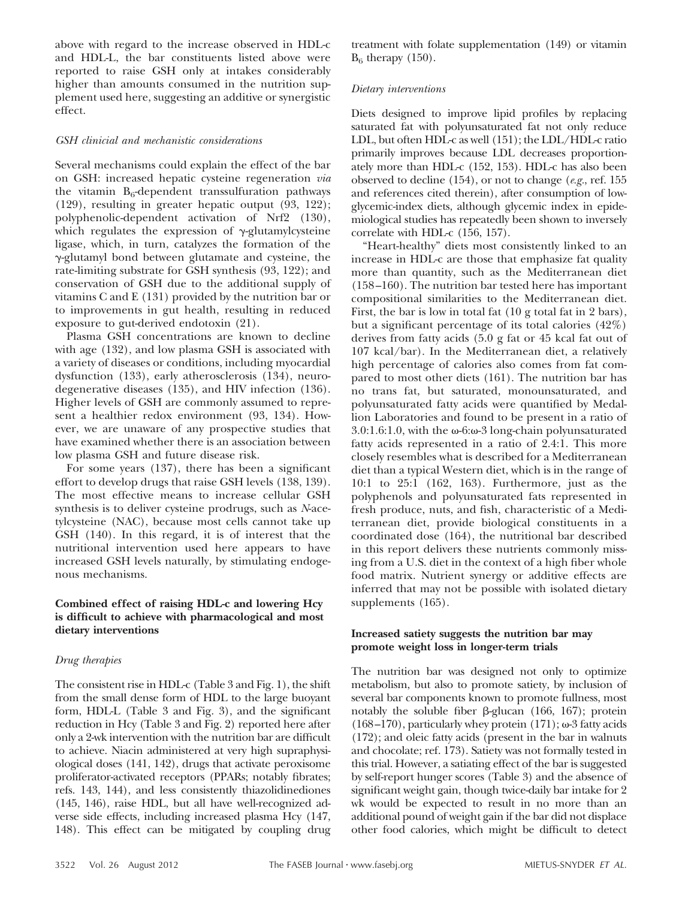above with regard to the increase observed in HDL-c and HDL-L, the bar constituents listed above were reported to raise GSH only at intakes considerably higher than amounts consumed in the nutrition supplement used here, suggesting an additive or synergistic effect.

## *GSH clinicial and mechanistic considerations*

Several mechanisms could explain the effect of the bar on GSH: increased hepatic cysteine regeneration *via* the vitamin  $B_6$ -dependent transsulfuration pathways (129), resulting in greater hepatic output (93, 122); polyphenolic-dependent activation of Nrf2 (130), which regulates the expression of  $\gamma$ -glutamylcysteine ligase, which, in turn, catalyzes the formation of the -glutamyl bond between glutamate and cysteine, the rate-limiting substrate for GSH synthesis (93, 122); and conservation of GSH due to the additional supply of vitamins C and E (131) provided by the nutrition bar or to improvements in gut health, resulting in reduced exposure to gut-derived endotoxin (21).

Plasma GSH concentrations are known to decline with age (132), and low plasma GSH is associated with a variety of diseases or conditions, including myocardial dysfunction (133), early atherosclerosis (134), neurodegenerative diseases (135), and HIV infection (136). Higher levels of GSH are commonly assumed to represent a healthier redox environment (93, 134). However, we are unaware of any prospective studies that have examined whether there is an association between low plasma GSH and future disease risk.

For some years (137), there has been a significant effort to develop drugs that raise GSH levels (138, 139). The most effective means to increase cellular GSH synthesis is to deliver cysteine prodrugs, such as *N*-acetylcysteine (NAC), because most cells cannot take up GSH (140). In this regard, it is of interest that the nutritional intervention used here appears to have increased GSH levels naturally, by stimulating endogenous mechanisms.

# **Combined effect of raising HDL-c and lowering Hcy is difficult to achieve with pharmacological and most dietary interventions**

# *Drug therapies*

The consistent rise in HDL-c (Table 3 and Fig. 1), the shift from the small dense form of HDL to the large buoyant form, HDL-L (Table 3 and Fig. 3), and the significant reduction in Hcy (Table 3 and Fig. 2) reported here after only a 2-wk intervention with the nutrition bar are difficult to achieve. Niacin administered at very high supraphysiological doses (141, 142), drugs that activate peroxisome proliferator-activated receptors (PPARs; notably fibrates; refs. 143, 144), and less consistently thiazolidinediones (145, 146), raise HDL, but all have well-recognized adverse side effects, including increased plasma Hcy (147, 148). This effect can be mitigated by coupling drug

treatment with folate supplementation (149) or vitamin  $B<sub>6</sub>$  therapy (150).

# *Dietary interventions*

Diets designed to improve lipid profiles by replacing saturated fat with polyunsaturated fat not only reduce LDL, but often HDL-c as well (151); the LDL/HDL-c ratio primarily improves because LDL decreases proportionately more than HDL-c (152, 153). HDL-c has also been observed to decline (154), or not to change (*e.g.*, ref. 155 and references cited therein), after consumption of lowglycemic-index diets, although glycemic index in epidemiological studies has repeatedly been shown to inversely correlate with HDL-c (156, 157).

"Heart-healthy" diets most consistently linked to an increase in HDL-c are those that emphasize fat quality more than quantity, such as the Mediterranean diet (158–160). The nutrition bar tested here has important compositional similarities to the Mediterranean diet. First, the bar is low in total fat (10 g total fat in 2 bars), but a significant percentage of its total calories (42%) derives from fatty acids (5.0 g fat or 45 kcal fat out of 107 kcal/bar). In the Mediterranean diet, a relatively high percentage of calories also comes from fat compared to most other diets (161). The nutrition bar has no trans fat, but saturated, monounsaturated, and polyunsaturated fatty acids were quantified by Medallion Laboratories and found to be present in a ratio of  $3.0:1.6:1.0$ , with the  $\omega$ -6: $\omega$ -3 long-chain polyunsaturated fatty acids represented in a ratio of 2.4:1. This more closely resembles what is described for a Mediterranean diet than a typical Western diet, which is in the range of 10:1 to 25:1 (162, 163). Furthermore, just as the polyphenols and polyunsaturated fats represented in fresh produce, nuts, and fish, characteristic of a Mediterranean diet, provide biological constituents in a coordinated dose (164), the nutritional bar described in this report delivers these nutrients commonly missing from a U.S. diet in the context of a high fiber whole food matrix. Nutrient synergy or additive effects are inferred that may not be possible with isolated dietary supplements (165).

# **Increased satiety suggests the nutrition bar may promote weight loss in longer-term trials**

The nutrition bar was designed not only to optimize metabolism, but also to promote satiety, by inclusion of several bar components known to promote fullness, most notably the soluble fiber  $\beta$ -glucan (166, 167); protein  $(168-170)$ , particularly whey protein  $(171)$ ;  $\omega$ -3 fatty acids (172); and oleic fatty acids (present in the bar in walnuts and chocolate; ref. 173). Satiety was not formally tested in this trial. However, a satiating effect of the bar is suggested by self-report hunger scores (Table 3) and the absence of significant weight gain, though twice-daily bar intake for 2 wk would be expected to result in no more than an additional pound of weight gain if the bar did not displace other food calories, which might be difficult to detect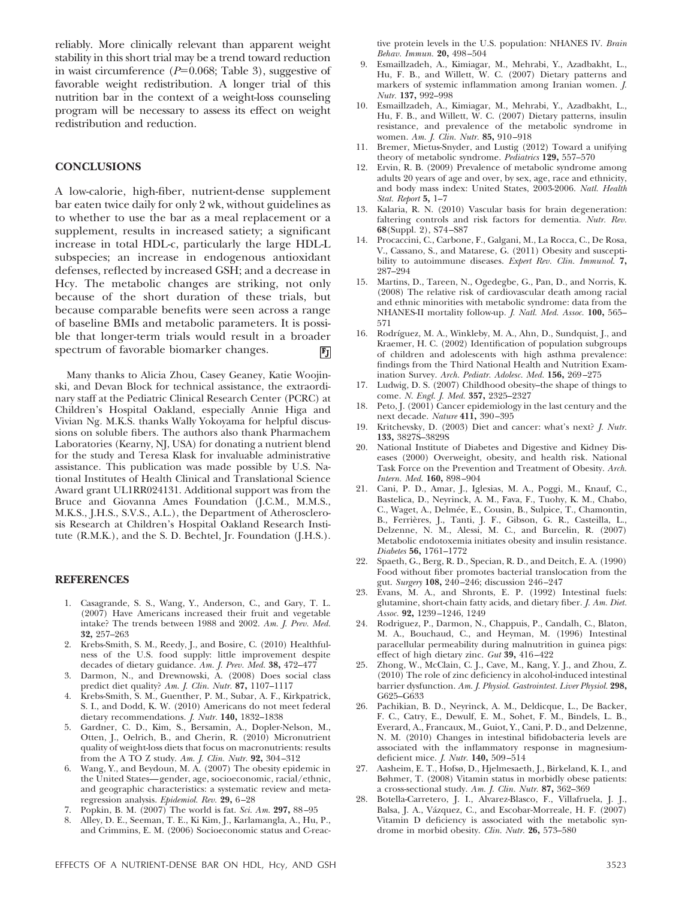reliably. More clinically relevant than apparent weight stability in this short trial may be a trend toward reduction in waist circumference  $(P=0.068;$  Table 3), suggestive of favorable weight redistribution. A longer trial of this nutrition bar in the context of a weight-loss counseling program will be necessary to assess its effect on weight redistribution and reduction.

## **CONCLUSIONS**

A low-calorie, high-fiber, nutrient-dense supplement bar eaten twice daily for only 2 wk, without guidelines as to whether to use the bar as a meal replacement or a supplement, results in increased satiety; a significant increase in total HDL-c, particularly the large HDL-L subspecies; an increase in endogenous antioxidant defenses, reflected by increased GSH; and a decrease in Hcy. The metabolic changes are striking, not only because of the short duration of these trials, but because comparable benefits were seen across a range of baseline BMIs and metabolic parameters. It is possible that longer-term trials would result in a broader spectrum of favorable biomarker changes.  $|F_J|$ 

Many thanks to Alicia Zhou, Casey Geaney, Katie Woojinski, and Devan Block for technical assistance, the extraordinary staff at the Pediatric Clinical Research Center (PCRC) at Children's Hospital Oakland, especially Annie Higa and Vivian Ng. M.K.S. thanks Wally Yokoyama for helpful discussions on soluble fibers. The authors also thank Pharmachem Laboratories (Kearny, NJ, USA) for donating a nutrient blend for the study and Teresa Klask for invaluable administrative assistance. This publication was made possible by U.S. National Institutes of Health Clinical and Translational Science Award grant UL1RR024131. Additional support was from the Bruce and Giovanna Ames Foundation (J.C.M., M.M.S., M.K.S., J.H.S., S.V.S., A.L.), the Department of Atherosclerosis Research at Children's Hospital Oakland Research Institute (R.M.K.), and the S. D. Bechtel, Jr. Foundation (J.H.S.).

## **REFERENCES**

- 1. Casagrande, S. S., Wang, Y., Anderson, C., and Gary, T. L. (2007) Have Americans increased their fruit and vegetable intake? The trends between 1988 and 2002. *Am. J. Prev. Med.* **32,** 257–263
- 2. Krebs-Smith, S. M., Reedy, J., and Bosire, C. (2010) Healthfulness of the U.S. food supply: little improvement despite decades of dietary guidance. *Am. J. Prev. Med.* **38,** 472–477
- 3. Darmon, N., and Drewnowski, A. (2008) Does social class predict diet quality? *Am. J. Clin. Nutr.* **87,** 1107–1117
- 4. Krebs-Smith, S. M., Guenther, P. M., Subar, A. F., Kirkpatrick, S. I., and Dodd, K. W. (2010) Americans do not meet federal dietary recommendations. *J. Nutr.* **140,** 1832–1838
- 5. Gardner, C. D., Kim, S., Bersamin, A., Dopler-Nelson, M., Otten, J., Oelrich, B., and Cherin, R. (2010) Micronutrient quality of weight-loss diets that focus on macronutrients: results from the A TO Z study. *Am. J. Clin. Nutr.* **92,** 304–312
- 6. Wang, Y., and Beydoun, M. A. (2007) The obesity epidemic in the United States—gender, age, socioeconomic, racial/ethnic, and geographic characteristics: a systematic review and metaregression analysis. *Epidemiol. Rev.* **29,** 6–28
- 7. Popkin, B. M. (2007) The world is fat. *Sci. Am.* **297,** 88–95
- 8. Alley, D. E., Seeman, T. E., Ki Kim, J., Karlamangla, A., Hu, P., and Crimmins, E. M. (2006) Socioeconomic status and C-reac-

tive protein levels in the U.S. population: NHANES IV. *Brain Behav. Immun.* **20,** 498–504

- 9. Esmaillzadeh, A., Kimiagar, M., Mehrabi, Y., Azadbakht, L., Hu, F. B., and Willett, W. C. (2007) Dietary patterns and markers of systemic inflammation among Iranian women. *J. Nutr.* **137,** 992–998
- 10. Esmaillzadeh, A., Kimiagar, M., Mehrabi, Y., Azadbakht, L., Hu, F. B., and Willett, W. C. (2007) Dietary patterns, insulin resistance, and prevalence of the metabolic syndrome in women. *Am. J. Clin. Nutr.* **85,** 910–918
- 11. Bremer, Mietus-Snyder, and Lustig (2012) Toward a unifying theory of metabolic syndrome. *Pediatrics* **129,** 557–570
- 12. Ervin, R. B. (2009) Prevalence of metabolic syndrome among adults 20 years of age and over, by sex, age, race and ethnicity, and body mass index: United States, 2003-2006. *Natl. Health Stat. Report* **5,** 1–7
- 13. Kalaria, R. N. (2010) Vascular basis for brain degeneration: faltering controls and risk factors for dementia. *Nutr. Rev.* **68**(Suppl. 2), S74–S87
- 14. Procaccini, C., Carbone, F., Galgani, M., La Rocca, C., De Rosa, V., Cassano, S., and Matarese, G. (2011) Obesity and susceptibility to autoimmune diseases. *Expert Rev. Clin. Immunol.* **7,** 287–294
- 15. Martins, D., Tareen, N., Ogedegbe, G., Pan, D., and Norris, K. (2008) The relative risk of cardiovascular death among racial and ethnic minorities with metabolic syndrome: data from the NHANES-II mortality follow-up. *J. Natl. Med. Assoc.* **100,** 565– 571
- 16. Rodríguez, M. A., Winkleby, M. A., Ahn, D., Sundquist, J., and Kraemer, H. C. (2002) Identification of population subgroups of children and adolescents with high asthma prevalence: findings from the Third National Health and Nutrition Examination Survey. *Arch. Pediatr. Adolesc. Med.* **156,** 269–275
- 17. Ludwig, D. S. (2007) Childhood obesity–the shape of things to come. *N. Engl. J. Med.* **357,** 2325–2327
- 18. Peto, J. (2001) Cancer epidemiology in the last century and the next decade. *Nature* **411,** 390–395
- 19. Kritchevsky, D. (2003) Diet and cancer: what's next? *J. Nutr.* **133,** 3827S–3829S
- 20. National Institute of Diabetes and Digestive and Kidney Diseases (2000) Overweight, obesity, and health risk. National Task Force on the Prevention and Treatment of Obesity. *Arch. Intern. Med.* **160,** 898–904
- 21. Cani, P. D., Amar, J., Iglesias, M. A., Poggi, M., Knauf, C., Bastelica, D., Neyrinck, A. M., Fava, F., Tuohy, K. M., Chabo, C., Waget, A., Delmée, E., Cousin, B., Sulpice, T., Chamontin, B., Ferrières, J., Tanti, J. F., Gibson, G. R., Casteilla, L., Delzenne, N. M., Alessi, M. C., and Burcelin, R. (2007) Metabolic endotoxemia initiates obesity and insulin resistance. *Diabetes* **56,** 1761–1772
- 22. Spaeth, G., Berg, R. D., Specian, R. D., and Deitch, E. A. (1990) Food without fiber promotes bacterial translocation from the gut. *Surgery* **108,** 240–246; discussion 246–247
- 23. Evans, M. A., and Shronts, E. P. (1992) Intestinal fuels: glutamine, short-chain fatty acids, and dietary fiber. *J. Am. Diet. Assoc.* **92,** 1239–1246, 1249
- 24. Rodriguez, P., Darmon, N., Chappuis, P., Candalh, C., Blaton, M. A., Bouchaud, C., and Heyman, M. (1996) Intestinal paracellular permeability during malnutrition in guinea pigs: effect of high dietary zinc. *Gut* **39,** 416–422
- Zhong, W., McClain, C. J., Cave, M., Kang, Y. J., and Zhou, Z. (2010) The role of zinc deficiency in alcohol-induced intestinal barrier dysfunction. *Am. J. Physiol. Gastrointest. Liver Physiol.* **298,** G625–G633
- 26. Pachikian, B. D., Neyrinck, A. M., Deldicque, L., De Backer, F. C., Catry, E., Dewulf, E. M., Sohet, F. M., Bindels, L. B., Everard, A., Francaux, M., Guiot, Y., Cani, P. D., and Delzenne, N. M. (2010) Changes in intestinal bifidobacteria levels are associated with the inflammatory response in magnesiumdeficient mice. *J. Nutr.* **140,** 509–514
- 27. Aasheim, E. T., Hofsø, D., Hjelmesaeth, J., Birkeland, K. I., and Bøhmer, T. (2008) Vitamin status in morbidly obese patients: a cross-sectional study. *Am. J. Clin. Nutr.* **87,** 362–369
- 28. Botella-Carretero, J. I., Alvarez-Blasco, F., Villafruela, J. J., Balsa, J. A., Vázquez, C., and Escobar-Morreale, H. F. (2007) Vitamin D deficiency is associated with the metabolic syndrome in morbid obesity. *Clin. Nutr.* **26,** 573–580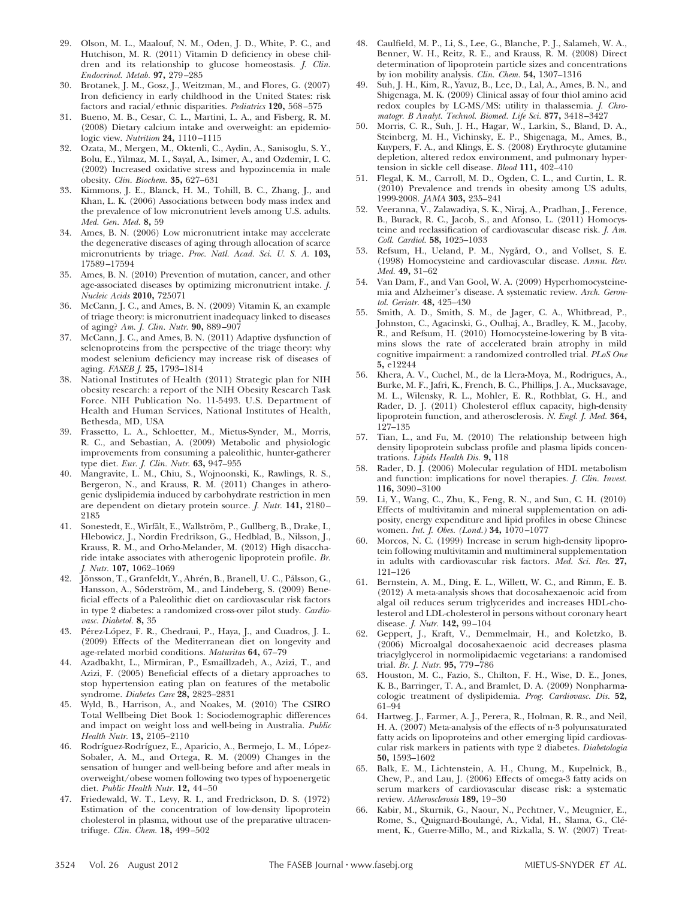- 29. Olson, M. L., Maalouf, N. M., Oden, J. D., White, P. C., and Hutchison, M. R. (2011) Vitamin D deficiency in obese children and its relationship to glucose homeostasis. *J. Clin. Endocrinol. Metab.* **97,** 279–285
- 30. Brotanek, J. M., Gosz, J., Weitzman, M., and Flores, G. (2007) Iron deficiency in early childhood in the United States: risk factors and racial/ethnic disparities. *Pediatrics* **120,** 568–575
- 31. Bueno, M. B., Cesar, C. L., Martini, L. A., and Fisberg, R. M. (2008) Dietary calcium intake and overweight: an epidemiologic view. *Nutrition* **24,** 1110–1115
- 32. Ozata, M., Mergen, M., Oktenli, C., Aydin, A., Sanisoglu, S. Y., Bolu, E., Yilmaz, M. I., Sayal, A., Isimer, A., and Ozdemir, I. C. (2002) Increased oxidative stress and hypozincemia in male obesity. *Clin. Biochem.* **35,** 627–631
- 33. Kimmons, J. E., Blanck, H. M., Tohill, B. C., Zhang, J., and Khan, L. K. (2006) Associations between body mass index and the prevalence of low micronutrient levels among U.S. adults. *Med. Gen. Med.* **8,** 59
- 34. Ames, B. N. (2006) Low micronutrient intake may accelerate the degenerative diseases of aging through allocation of scarce micronutrients by triage. *Proc. Natl. Acad. Sci. U. S. A.* **103,** 17589–17594
- 35. Ames, B. N. (2010) Prevention of mutation, cancer, and other age-associated diseases by optimizing micronutrient intake. *J. Nucleic Acids* **2010,** 725071
- 36. McCann, J. C., and Ames, B. N. (2009) Vitamin K, an example of triage theory: is micronutrient inadequacy linked to diseases of aging? *Am. J. Clin. Nutr.* **90,** 889–907
- 37. McCann, J. C., and Ames, B. N. (2011) Adaptive dysfunction of selenoproteins from the perspective of the triage theory: why modest selenium deficiency may increase risk of diseases of aging. *FASEB J.* **25,** 1793–1814
- 38. National Institutes of Health (2011) Strategic plan for NIH obesity research: a report of the NIH Obesity Research Task Force. NIH Publication No. 11-5493. U.S. Department of Health and Human Services, National Institutes of Health, Bethesda, MD, USA
- 39. Frassetto, L. A., Schloetter, M., Mietus-Synder, M., Morris, R. C., and Sebastian, A. (2009) Metabolic and physiologic improvements from consuming a paleolithic, hunter-gatherer type diet. *Eur. J. Clin. Nutr.* **63,** 947–955
- 40. Mangravite, L. M., Chiu, S., Wojnoonski, K., Rawlings, R. S., Bergeron, N., and Krauss, R. M. (2011) Changes in atherogenic dyslipidemia induced by carbohydrate restriction in men are dependent on dietary protein source. *J. Nutr.* **141,** 2180– 2185
- 41. Sonestedt, E., Wirfält, E., Wallström, P., Gullberg, B., Drake, I., Hlebowicz, J., Nordin Fredrikson, G., Hedblad, B., Nilsson, J., Krauss, R. M., and Orho-Melander, M. (2012) High disaccharide intake associates with atherogenic lipoprotein profile. *Br. J. Nutr.* **107,** 1062–1069
- 42. Jönsson, T., Granfeldt, Y., Ahrén, B., Branell, U. C., Pålsson, G., Hansson, A., Söderström, M., and Lindeberg, S. (2009) Beneficial effects of a Paleolithic diet on cardiovascular risk factors in type 2 diabetes: a randomized cross-over pilot study. *Cardiovasc. Diabetol.* **8,** 35
- 43. Pérez-López, F. R., Chedraui, P., Haya, J., and Cuadros, J. L. (2009) Effects of the Mediterranean diet on longevity and age-related morbid conditions. *Maturitas* **64,** 67–79
- 44. Azadbakht, L., Mirmiran, P., Esmaillzadeh, A., Azizi, T., and Azizi, F. (2005) Beneficial effects of a dietary approaches to stop hypertension eating plan on features of the metabolic syndrome. *Diabetes Care* **28,** 2823–2831
- 45. Wyld, B., Harrison, A., and Noakes, M. (2010) The CSIRO Total Wellbeing Diet Book 1: Sociodemographic differences and impact on weight loss and well-being in Australia. *Public Health Nutr.* **13,** 2105–2110
- 46. Rodríguez-Rodríguez, E., Aparicio, A., Bermejo, L. M., López-Sobaler, A. M., and Ortega, R. M. (2009) Changes in the sensation of hunger and well-being before and after meals in overweight/obese women following two types of hypoenergetic diet. *Public Health Nutr.* **12,** 44–50
- 47. Friedewald, W. T., Levy, R. I., and Fredrickson, D. S. (1972) Estimation of the concentration of low-density lipoprotein cholesterol in plasma, without use of the preparative ultracentrifuge. *Clin. Chem.* **18,** 499–502
- 48. Caulfield, M. P., Li, S., Lee, G., Blanche, P. J., Salameh, W. A., Benner, W. H., Reitz, R. E., and Krauss, R. M. (2008) Direct determination of lipoprotein particle sizes and concentrations by ion mobility analysis. *Clin. Chem.* **54,** 1307–1316
- 49. Suh, J. H., Kim, R., Yavuz, B., Lee, D., Lal, A., Ames, B. N., and Shigenaga, M. K. (2009) Clinical assay of four thiol amino acid redox couples by LC-MS/MS: utility in thalassemia. *J. Chromatogr. B Analyt. Technol. Biomed. Life Sci.* **877,** 3418–3427
- 50. Morris, C. R., Suh, J. H., Hagar, W., Larkin, S., Bland, D. A., Steinberg, M. H., Vichinsky, E. P., Shigenaga, M., Ames, B., Kuypers, F. A., and Klings, E. S. (2008) Erythrocyte glutamine depletion, altered redox environment, and pulmonary hypertension in sickle cell disease. *Blood* **111,** 402–410
- 51. Flegal, K. M., Carroll, M. D., Ogden, C. L., and Curtin, L. R. (2010) Prevalence and trends in obesity among US adults, 1999-2008. *JAMA* **303,** 235–241
- Veeranna, V., Zalawadiya, S. K., Niraj, A., Pradhan, J., Ference, B., Burack, R. C., Jacob, S., and Afonso, L. (2011) Homocysteine and reclassification of cardiovascular disease risk. *J. Am. Coll. Cardiol.* **58,** 1025–1033
- 53. Refsum, H., Ueland, P. M., Nygård, O., and Vollset, S. E. (1998) Homocysteine and cardiovascular disease. *Annu. Rev. Med.* **49,** 31–62
- 54. Van Dam, F., and Van Gool, W. A. (2009) Hyperhomocysteinemia and Alzheimer's disease. A systematic review. *Arch. Gerontol. Geriatr.* **48,** 425–430
- 55. Smith, A. D., Smith, S. M., de Jager, C. A., Whitbread, P., Johnston, C., Agacinski, G., Oulhaj, A., Bradley, K. M., Jacoby, R., and Refsum, H. (2010) Homocysteine-lowering by B vitamins slows the rate of accelerated brain atrophy in mild cognitive impairment: a randomized controlled trial. *PLoS One* **5,** e12244
- 56. Khera, A. V., Cuchel, M., de la Llera-Moya, M., Rodrigues, A., Burke, M. F., Jafri, K., French, B. C., Phillips, J. A., Mucksavage, M. L., Wilensky, R. L., Mohler, E. R., Rothblat, G. H., and Rader, D. J. (2011) Cholesterol efflux capacity, high-density lipoprotein function, and atherosclerosis. *N. Engl. J. Med.* **364,** 127–135
- 57. Tian, L., and Fu, M. (2010) The relationship between high density lipoprotein subclass profile and plasma lipids concentrations. *Lipids Health Dis.* **9,** 118
- 58. Rader, D. J. (2006) Molecular regulation of HDL metabolism and function: implications for novel therapies. *J. Clin. Invest.* **116,** 3090–3100
- 59. Li, Y., Wang, C., Zhu, K., Feng, R. N., and Sun, C. H. (2010) Effects of multivitamin and mineral supplementation on adiposity, energy expenditure and lipid profiles in obese Chinese women. *Int. J. Obes. (Lond.)* **34,** 1070–1077
- 60. Morcos, N. C. (1999) Increase in serum high-density lipoprotein following multivitamin and multimineral supplementation in adults with cardiovascular risk factors. *Med. Sci. Res.* **27,** 121–126
- 61. Bernstein, A. M., Ding, E. L., Willett, W. C., and Rimm, E. B. (2012) A meta-analysis shows that docosahexaenoic acid from algal oil reduces serum triglycerides and increases HDL-cholesterol and LDL-cholesterol in persons without coronary heart disease. *J. Nutr.* **142,** 99–104
- 62. Geppert, J., Kraft, V., Demmelmair, H., and Koletzko, B. (2006) Microalgal docosahexaenoic acid decreases plasma triacylglycerol in normolipidaemic vegetarians: a randomised trial. *Br. J. Nutr.* **95,** 779–786
- 63. Houston, M. C., Fazio, S., Chilton, F. H., Wise, D. E., Jones, K. B., Barringer, T. A., and Bramlet, D. A. (2009) Nonpharmacologic treatment of dyslipidemia. *Prog. Cardiovasc. Dis.* **52,** 61–94
- 64. Hartweg, J., Farmer, A. J., Perera, R., Holman, R. R., and Neil, H. A. (2007) Meta-analysis of the effects of n-3 polyunsaturated fatty acids on lipoproteins and other emerging lipid cardiovascular risk markers in patients with type 2 diabetes. *Diabetologia* **50,** 1593–1602
- 65. Balk, E. M., Lichtenstein, A. H., Chung, M., Kupelnick, B., Chew, P., and Lau, J. (2006) Effects of omega-3 fatty acids on serum markers of cardiovascular disease risk: a systematic review. *Atherosclerosis* **189,** 19–30
- 66. Kabir, M., Skurnik, G., Naour, N., Pechtner, V., Meugnier, E., Rome, S., Quignard-Boulangé, A., Vidal, H., Slama, G., Clément, K., Guerre-Millo, M., and Rizkalla, S. W. (2007) Treat-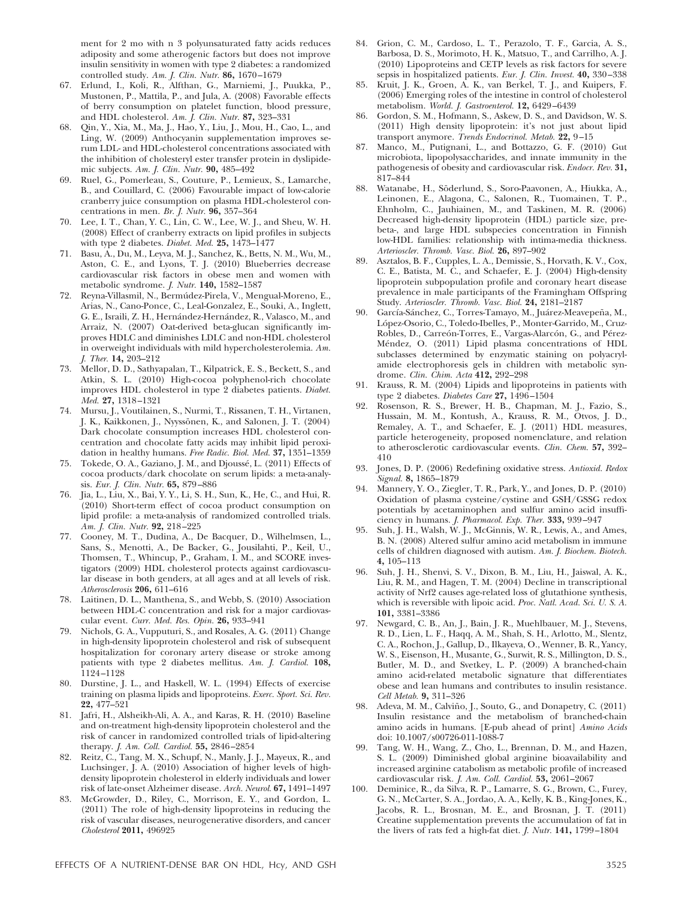ment for 2 mo with n 3 polyunsaturated fatty acids reduces adiposity and some atherogenic factors but does not improve insulin sensitivity in women with type 2 diabetes: a randomized controlled study. *Am. J. Clin. Nutr.* **86,** 1670–1679

- 67. Erlund, I., Koli, R., Alfthan, G., Marniemi, J., Puukka, P., Mustonen, P., Mattila, P., and Jula, A. (2008) Favorable effects of berry consumption on platelet function, blood pressure, and HDL cholesterol. *Am. J. Clin. Nutr.* **87,** 323–331
- Qin, Y., Xia, M., Ma, J., Hao, Y., Liu, J., Mou, H., Cao, L., and Ling, W. (2009) Anthocyanin supplementation improves serum LDL- and HDL-cholesterol concentrations associated with the inhibition of cholesteryl ester transfer protein in dyslipidemic subjects. *Am. J. Clin. Nutr.* **90,** 485–492
- 69. Ruel, G., Pomerleau, S., Couture, P., Lemieux, S., Lamarche, B., and Couillard, C. (2006) Favourable impact of low-calorie cranberry juice consumption on plasma HDL-cholesterol concentrations in men. *Br. J. Nutr.* **96,** 357–364
- 70. Lee, I. T., Chan, Y. C., Lin, C. W., Lee, W. J., and Sheu, W. H. (2008) Effect of cranberry extracts on lipid profiles in subjects with type 2 diabetes. *Diabet. Med.* **25,** 1473–1477
- 71. Basu, A., Du, M., Leyva, M. J., Sanchez, K., Betts, N. M., Wu, M., Aston, C. E., and Lyons, T. J. (2010) Blueberries decrease cardiovascular risk factors in obese men and women with metabolic syndrome. *J. Nutr.* **140,** 1582–1587
- 72. Reyna-Villasmil, N., Bermúdez-Pirela, V., Mengual-Moreno, E., Arias, N., Cano-Ponce, C., Leal-Gonzalez, E., Souki, A., Inglett, G. E., Israili, Z. H., Hernández-Hernández, R., Valasco, M., and Arraiz, N. (2007) Oat-derived beta-glucan significantly improves HDLC and diminishes LDLC and non-HDL cholesterol in overweight individuals with mild hypercholesterolemia. *Am. J. Ther.* **14,** 203–212
- 73. Mellor, D. D., Sathyapalan, T., Kilpatrick, E. S., Beckett, S., and Atkin, S. L. (2010) High-cocoa polyphenol-rich chocolate improves HDL cholesterol in type 2 diabetes patients. *Diabet. Med.* **27,** 1318–1321
- 74. Mursu, J., Voutilainen, S., Nurmi, T., Rissanen, T. H., Virtanen, J. K., Kaikkonen, J., Nyyssönen, K., and Salonen, J. T. (2004) Dark chocolate consumption increases HDL cholesterol concentration and chocolate fatty acids may inhibit lipid peroxidation in healthy humans. *Free Radic. Biol. Med.* **37,** 1351–1359
- 75. Tokede, O. A., Gaziano, J. M., and Djoussé, L. (2011) Effects of cocoa products/dark chocolate on serum lipids: a meta-analysis. *Eur. J. Clin. Nutr.* **65,** 879–886
- 76. Jia, L., Liu, X., Bai, Y. Y., Li, S. H., Sun, K., He, C., and Hui, R. (2010) Short-term effect of cocoa product consumption on lipid profile: a meta-analysis of randomized controlled trials. *Am. J. Clin. Nutr.* **92,** 218–225
- 77. Cooney, M. T., Dudina, A., De Bacquer, D., Wilhelmsen, L., Sans, S., Menotti, A., De Backer, G., Jousilahti, P., Keil, U., Thomsen, T., Whincup, P., Graham, I. M., and SCORE investigators (2009) HDL cholesterol protects against cardiovascular disease in both genders, at all ages and at all levels of risk. *Atherosclerosis* **206,** 611–616
- 78. Laitinen, D. L., Manthena, S., and Webb, S. (2010) Association between HDL-C concentration and risk for a major cardiovascular event. *Curr. Med. Res. Opin.* **26,** 933–941
- 79. Nichols, G. A., Vupputuri, S., and Rosales, A. G. (2011) Change in high-density lipoprotein cholesterol and risk of subsequent hospitalization for coronary artery disease or stroke among patients with type 2 diabetes mellitus. *Am. J. Cardiol.* **108,** 1124–1128
- 80. Durstine, J. L., and Haskell, W. L. (1994) Effects of exercise training on plasma lipids and lipoproteins. *Exerc. Sport. Sci. Rev.* **22,** 477–521
- 81. Jafri, H., Alsheikh-Ali, A. A., and Karas, R. H. (2010) Baseline and on-treatment high-density lipoprotein cholesterol and the risk of cancer in randomized controlled trials of lipid-altering therapy. *J. Am. Coll. Cardiol.* **55,** 2846–2854
- 82. Reitz, C., Tang, M. X., Schupf, N., Manly, J. J., Mayeux, R., and Luchsinger, J. A. (2010) Association of higher levels of highdensity lipoprotein cholesterol in elderly individuals and lower risk of late-onset Alzheimer disease. *Arch. Neurol.* **67,** 1491–1497
- 83. McGrowder, D., Riley, C., Morrison, E. Y., and Gordon, L. (2011) The role of high-density lipoproteins in reducing the risk of vascular diseases, neurogenerative disorders, and cancer *Cholesterol* **2011,** 496925
- 84. Grion, C. M., Cardoso, L. T., Perazolo, T. F., Garcia, A. S., Barbosa, D. S., Morimoto, H. K., Matsuo, T., and Carrilho, A. J. (2010) Lipoproteins and CETP levels as risk factors for severe sepsis in hospitalized patients. *Eur. J. Clin. Invest.* **40,** 330–338
- 85. Kruit, J. K., Groen, A. K., van Berkel, T. J., and Kuipers, F. (2006) Emerging roles of the intestine in control of cholesterol metabolism. *World. J. Gastroenterol.* **12,** 6429–6439
- 86. Gordon, S. M., Hofmann, S., Askew, D. S., and Davidson, W. S. (2011) High density lipoprotein: it's not just about lipid transport anymore. *Trends Endocrinol. Metab.* **22,** 9–15
- 87. Manco, M., Putignani, L., and Bottazzo, G. F. (2010) Gut microbiota, lipopolysaccharides, and innate immunity in the pathogenesis of obesity and cardiovascular risk. *Endocr. Rev.* **31,** 817–844
- 88. Watanabe, H., Söderlund, S., Soro-Paavonen, A., Hiukka, A., Leinonen, E., Alagona, C., Salonen, R., Tuomainen, T. P., Ehnholm, C., Jauhiainen, M., and Taskinen, M. R. (2006) Decreased high-density lipoprotein (HDL) particle size, prebeta-, and large HDL subspecies concentration in Finnish low-HDL families: relationship with intima-media thickness. *Arterioscler. Thromb. Vasc. Biol.* **26,** 897–902
- 89. Asztalos, B. F., Cupples, L. A., Demissie, S., Horvath, K. V., Cox, C. E., Batista, M. C., and Schaefer, E. J. (2004) High-density lipoprotein subpopulation profile and coronary heart disease prevalence in male participants of the Framingham Offspring Study. *Arterioscler. Thromb. Vasc. Biol.* **24,** 2181–2187
- 90. García-Sánchez, C., Torres-Tamayo, M., Juárez-Meavepeña, M., López-Osorio, C., Toledo-Ibelles, P., Monter-Garrido, M., Cruz-Robles, D., Carreón-Torres, E., Vargas-Alarcón, G., and Pérez-Méndez, O. (2011) Lipid plasma concentrations of HDL subclasses determined by enzymatic staining on polyacrylamide electrophoresis gels in children with metabolic syndrome. *Clin. Chim. Acta* **412,** 292–298
- 91. Krauss, R. M. (2004) Lipids and lipoproteins in patients with type 2 diabetes. *Diabetes Care* **27,** 1496–1504
- 92. Rosenson, R. S., Brewer, H. B., Chapman, M. J., Fazio, S., Hussain, M. M., Kontush, A., Krauss, R. M., Otvos, J. D., Remaley, A. T., and Schaefer, E. J. (2011) HDL measures, particle heterogeneity, proposed nomenclature, and relation to atherosclerotic cardiovascular events. *Clin. Chem.* **57,** 392– 410
- 93. Jones, D. P. (2006) Redefining oxidative stress. *Antioxid. Redox Signal.* **8,** 1865–1879
- 94. Mannery, Y. O., Ziegler, T. R., Park, Y., and Jones, D. P. (2010) Oxidation of plasma cysteine/cystine and GSH/GSSG redox potentials by acetaminophen and sulfur amino acid insufficiency in humans. *J. Pharmacol. Exp. Ther.* **333,** 939–947
- 95. Suh, J. H., Walsh, W. J., McGinnis, W. R., Lewis, A., and Ames, B. N. (2008) Altered sulfur amino acid metabolism in immune cells of children diagnosed with autism. *Am. J. Biochem. Biotech.* **4,** 105–113
- 96. Suh, J. H., Shenvi, S. V., Dixon, B. M., Liu, H., Jaiswal, A. K., Liu, R. M., and Hagen, T. M. (2004) Decline in transcriptional activity of Nrf2 causes age-related loss of glutathione synthesis, which is reversible with lipoic acid. *Proc. Natl. Acad. Sci. U. S. A.* **101,** 3381–3386
- 97. Newgard, C. B., An, J., Bain, J. R., Muehlbauer, M. J., Stevens, R. D., Lien, L. F., Haqq, A. M., Shah, S. H., Arlotto, M., Slentz, C. A., Rochon, J., Gallup, D., Ilkayeva, O., Wenner, B. R., Yancy, W. S., Eisenson, H., Musante, G., Surwit, R. S., Millington, D. S., Butler, M. D., and Svetkey, L. P. (2009) A branched-chain amino acid-related metabolic signature that differentiates obese and lean humans and contributes to insulin resistance. *Cell Metab.* **9,** 311–326
- 98. Adeva, M. M., Calviño, J., Souto, G., and Donapetry, C. (2011) Insulin resistance and the metabolism of branched-chain amino acids in humans. [E-pub ahead of print] *Amino Acids* doi: 10.1007/s00726-011-1088-7
- 99. Tang, W. H., Wang, Z., Cho, L., Brennan, D. M., and Hazen, S. L. (2009) Diminished global arginine bioavailability and increased arginine catabolism as metabolic profile of increased cardiovascular risk. *J. Am. Coll. Cardiol.* **53,** 2061–2067
- 100. Deminice, R., da Silva, R. P., Lamarre, S. G., Brown, C., Furey, G. N., McCarter, S. A., Jordao, A. A., Kelly, K. B., King-Jones, K., Jacobs, R. L., Brosnan, M. E., and Brosnan, J. T. (2011) Creatine supplementation prevents the accumulation of fat in the livers of rats fed a high-fat diet. *J. Nutr.* **141,** 1799–1804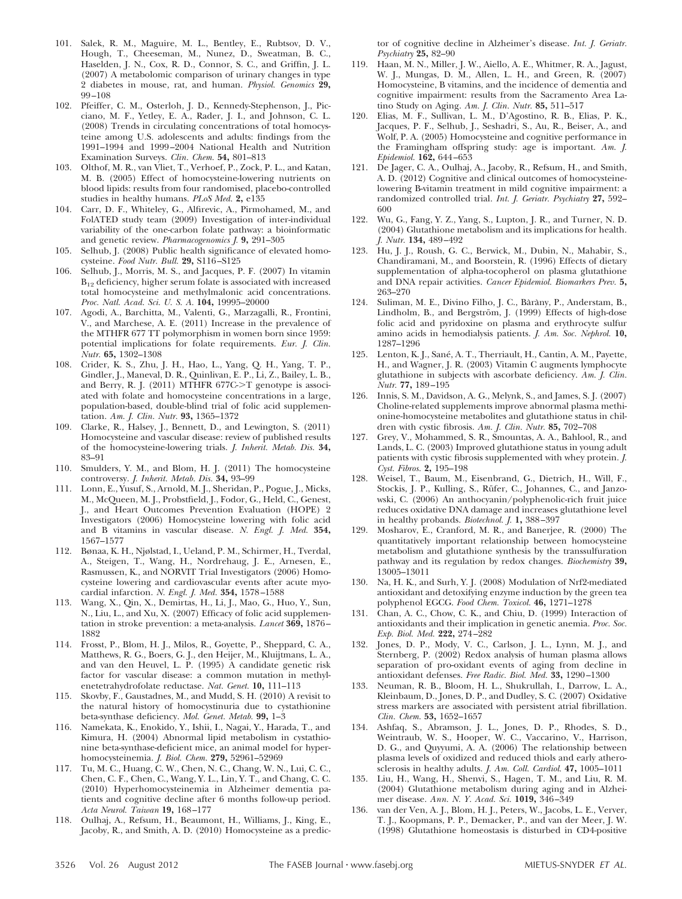- 101. Salek, R. M., Maguire, M. L., Bentley, E., Rubtsov, D. V., Hough, T., Cheeseman, M., Nunez, D., Sweatman, B. C., Haselden, J. N., Cox, R. D., Connor, S. C., and Griffin, J. L. (2007) A metabolomic comparison of urinary changes in type 2 diabetes in mouse, rat, and human. *Physiol. Genomics* **29,** 99–108
- 102. Pfeiffer, C. M., Osterloh, J. D., Kennedy-Stephenson, J., Picciano, M. F., Yetley, E. A., Rader, J. I., and Johnson, C. L. (2008) Trends in circulating concentrations of total homocysteine among U.S. adolescents and adults: findings from the 1991–1994 and 1999–2004 National Health and Nutrition Examination Surveys. *Clin. Chem.* **54,** 801–813
- 103. Olthof, M. R., van Vliet, T., Verhoef, P., Zock, P. L., and Katan, M. B. (2005) Effect of homocysteine-lowering nutrients on blood lipids: results from four randomised, placebo-controlled studies in healthy humans. *PLoS Med.* **2,** e135
- 104. Carr, D. F., Whiteley, G., Alfirevic, A., Pirmohamed, M., and FolATED study team (2009) Investigation of inter-individual variability of the one-carbon folate pathway: a bioinformatic and genetic review. *Pharmacogenomics J.* **9,** 291–305
- 105. Selhub, J. (2008) Public health significance of elevated homocysteine. *Food Nutr. Bull.* **29,** S116–S125
- 106. Selhub, J., Morris, M. S., and Jacques, P. F. (2007) In vitamin  $B_{12}$  deficiency, higher serum folate is associated with increased total homocysteine and methylmalonic acid concentrations. *Proc. Natl. Acad. Sci. U. S. A.* **104,** 19995–20000
- 107. Agodi, A., Barchitta, M., Valenti, G., Marzagalli, R., Frontini, V., and Marchese, A. E. (2011) Increase in the prevalence of the MTHFR 677 TT polymorphism in women born since 1959: potential implications for folate requirements. *Eur. J. Clin. Nutr.* **65,** 1302–1308
- 108. Crider, K. S., Zhu, J. H., Hao, L., Yang, Q. H., Yang, T. P., Gindler, J., Maneval, D. R., Quinlivan, E. P., Li, Z., Bailey, L. B., and Berry, R. J. (2011) MTHFR 677C->T genotype is associated with folate and homocysteine concentrations in a large, population-based, double-blind trial of folic acid supplementation. *Am. J. Clin. Nutr.* **93,** 1365–1372
- 109. Clarke, R., Halsey, J., Bennett, D., and Lewington, S. (2011) Homocysteine and vascular disease: review of published results of the homocysteine-lowering trials. *J. Inherit. Metab. Dis.* **34,** 83–91
- 110. Smulders, Y. M., and Blom, H. J. (2011) The homocysteine controversy. *J. Inherit. Metab. Dis.* **34,** 93–99
- 111. Lonn, E., Yusuf, S., Arnold, M. J., Sheridan, P., Pogue, J., Micks, M., McQueen, M. J., Probstfield, J., Fodor, G., Held, C., Genest, J., and Heart Outcomes Prevention Evaluation (HOPE) 2 Investigators (2006) Homocysteine lowering with folic acid and B vitamins in vascular disease. *N. Engl. J. Med.* **354,** 1567–1577
- 112. Bønaa, K. H., Njølstad, I., Ueland, P. M., Schirmer, H., Tverdal, A., Steigen, T., Wang, H., Nordrehaug, J. E., Arnesen, E., Rasmussen, K., and NORVIT Trial Investigators (2006) Homocysteine lowering and cardiovascular events after acute myocardial infarction. *N. Engl. J. Med.* **354,** 1578–1588
- 113. Wang, X., Qin, X., Demirtas, H., Li, J., Mao, G., Huo, Y., Sun, N., Liu, L., and Xu, X. (2007) Efficacy of folic acid supplementation in stroke prevention: a meta-analysis. *Lancet* **369,** 1876– 1882
- 114. Frosst, P., Blom, H. J., Milos, R., Goyette, P., Sheppard, C. A., Matthews, R. G., Boers, G. J., den Heijer, M., Kluijtmans, L. A., and van den Heuvel, L. P. (1995) A candidate genetic risk factor for vascular disease: a common mutation in methylenetetrahydrofolate reductase. *Nat. Genet.* **10,** 111–113
- 115. Skovby, F., Gaustadnes, M., and Mudd, S. H. (2010) A revisit to the natural history of homocystinuria due to cystathionine beta-synthase deficiency. *Mol. Genet. Metab.* **99,** 1–3
- 116. Namekata, K., Enokido, Y., Ishii, I., Nagai, Y., Harada, T., and Kimura, H. (2004) Abnormal lipid metabolism in cystathionine beta-synthase-deficient mice, an animal model for hyperhomocysteinemia. *J. Biol. Chem.* **279,** 52961–52969
- 117. Tu, M. C., Huang, C. W., Chen, N. C., Chang, W. N., Lui, C. C., Chen, C. F., Chen, C., Wang, Y. L., Lin, Y. T., and Chang, C. C. (2010) Hyperhomocysteinemia in Alzheimer dementia patients and cognitive decline after 6 months follow-up period. *Acta Neurol. Taiwan* **19,** 168–177
- 118. Oulhaj, A., Refsum, H., Beaumont, H., Williams, J., King, E., Jacoby, R., and Smith, A. D. (2010) Homocysteine as a predic-

tor of cognitive decline in Alzheimer's disease. *Int. J. Geriatr. Psychiatry* **25,** 82–90

- 119. Haan, M. N., Miller, J. W., Aiello, A. E., Whitmer, R. A., Jagust, W. J., Mungas, D. M., Allen, L. H., and Green, R. (2007) Homocysteine, B vitamins, and the incidence of dementia and cognitive impairment: results from the Sacramento Area Latino Study on Aging. *Am. J. Clin. Nutr.* **85,** 511–517
- 120. Elias, M. F., Sullivan, L. M., D'Agostino, R. B., Elias, P. K., Jacques, P. F., Selhub, J., Seshadri, S., Au, R., Beiser, A., and Wolf, P. A. (2005) Homocysteine and cognitive performance in the Framingham offspring study: age is important. *Am. J. Epidemiol.* **162,** 644–653
- 121. De Jager, C. A., Oulhaj, A., Jacoby, R., Refsum, H., and Smith, A. D. (2012) Cognitive and clinical outcomes of homocysteinelowering B-vitamin treatment in mild cognitive impairment: a randomized controlled trial. *Int. J. Geriatr. Psychiatry* **27,** 592– 600
- 122. Wu, G., Fang, Y. Z., Yang, S., Lupton, J. R., and Turner, N. D. (2004) Glutathione metabolism and its implications for health. *J. Nutr.* **134,** 489–492
- 123. Hu, J. J., Roush, G. C., Berwick, M., Dubin, N., Mahabir, S., Chandiramani, M., and Boorstein, R. (1996) Effects of dietary supplementation of alpha-tocopherol on plasma glutathione and DNA repair activities. *Cancer Epidemiol. Biomarkers Prev.* **5,** 263–270
- 124. Suliman, M. E., Divino Filho, J. C., Bàràny, P., Anderstam, B., Lindholm, B., and Bergström, J. (1999) Effects of high-dose folic acid and pyridoxine on plasma and erythrocyte sulfur amino acids in hemodialysis patients. *J. Am. Soc. Nephrol.* **10,** 1287–1296
- 125. Lenton, K. J., Sané, A. T., Therriault, H., Cantin, A. M., Payette, H., and Wagner, J. R. (2003) Vitamin C augments lymphocyte glutathione in subjects with ascorbate deficiency. *Am. J. Clin. Nutr.* **77,** 189–195
- 126. Innis, S. M., Davidson, A. G., Melynk, S., and James, S. J. (2007) Choline-related supplements improve abnormal plasma methionine-homocysteine metabolites and glutathione status in children with cystic fibrosis. *Am. J. Clin. Nutr.* **85,** 702–708
- 127. Grey, V., Mohammed, S. R., Smountas, A. A., Bahlool, R., and Lands, L. C. (2003) Improved glutathione status in young adult patients with cystic fibrosis supplemented with whey protein. *J. Cyst. Fibros.* **2,** 195–198
- 128. Weisel, T., Baum, M., Eisenbrand, G., Dietrich, H., Will, F., Stockis, J. P., Kulling, S., Rüfer, C., Johannes, C., and Janzowski, C. (2006) An anthocyanin/polyphenolic-rich fruit juice reduces oxidative DNA damage and increases glutathione level in healthy probands. *Biotechnol. J.* **1,** 388–397
- 129. Mosharov, E., Cranford, M. R., and Banerjee, R. (2000) The quantitatively important relationship between homocysteine metabolism and glutathione synthesis by the transsulfuration pathway and its regulation by redox changes. *Biochemistry* **39,** 13005–13011
- 130. Na, H. K., and Surh, Y. J. (2008) Modulation of Nrf2-mediated antioxidant and detoxifying enzyme induction by the green tea polyphenol EGCG. *Food Chem. Toxicol.* **46,** 1271–1278
- 131. Chan, A. C., Chow, C. K., and Chiu, D. (1999) Interaction of antioxidants and their implication in genetic anemia. *Proc. Soc. Exp. Biol. Med.* **222,** 274–282
- 132. Jones, D. P., Mody, V. C., Carlson, J. L., Lynn, M. J., and Sternberg, P. (2002) Redox analysis of human plasma allows separation of pro-oxidant events of aging from decline in antioxidant defenses. *Free Radic. Biol. Med.* **33,** 1290–1300
- 133. Neuman, R. B., Bloom, H. L., Shukrullah, I., Darrow, L. A., Kleinbaum, D., Jones, D. P., and Dudley, S. C. (2007) Oxidative stress markers are associated with persistent atrial fibrillation. *Clin. Chem.* **53,** 1652–1657
- 134. Ashfaq, S., Abramson, J. L., Jones, D. P., Rhodes, S. D., Weintraub, W. S., Hooper, W. C., Vaccarino, V., Harrison, D. G., and Quyyumi, A. A. (2006) The relationship between plasma levels of oxidized and reduced thiols and early atherosclerosis in healthy adults. *J. Am. Coll. Cardiol.* **47,** 1005–1011
- 135. Liu, H., Wang, H., Shenvi, S., Hagen, T. M., and Liu, R. M. (2004) Glutathione metabolism during aging and in Alzheimer disease. *Ann. N. Y. Acad. Sci.* **1019,** 346–349
- 136. van der Ven, A. J., Blom, H. J., Peters, W., Jacobs, L. E., Verver, T. J., Koopmans, P. P., Demacker, P., and van der Meer, J. W. (1998) Glutathione homeostasis is disturbed in CD4-positive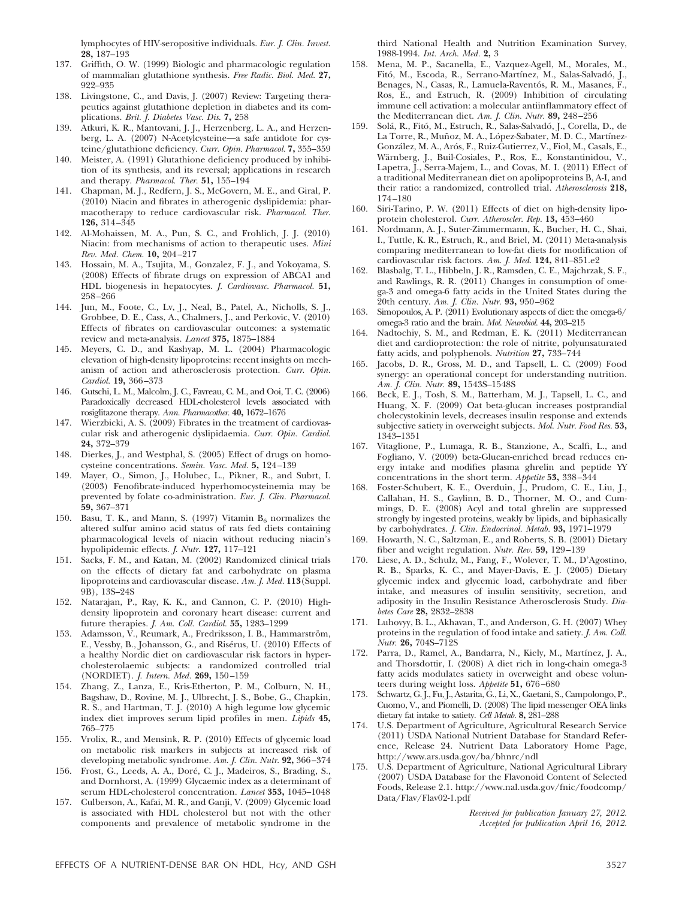lymphocytes of HIV-seropositive individuals. *Eur. J. Clin. Invest.* **28,** 187–193

- 137. Griffith, O. W. (1999) Biologic and pharmacologic regulation of mammalian glutathione synthesis. *Free Radic. Biol. Med.* **27,** 922–935
- 138. Livingstone, C., and Davis, J. (2007) Review: Targeting therapeutics against glutathione depletion in diabetes and its complications. *Brit. J. Diabetes Vasc. Dis*. **7,** 258
- 139. Atkuri, K. R., Mantovani, J. J., Herzenberg, L. A., and Herzenberg, L. A. (2007) N-Acetylcysteine—a safe antidote for cysteine/glutathione deficiency. *Curr. Opin. Pharmacol.* **7,** 355–359
- 140. Meister, A. (1991) Glutathione deficiency produced by inhibition of its synthesis, and its reversal; applications in research and therapy. *Pharmacol. Ther.* **51,** 155–194
- 141. Chapman, M. J., Redfern, J. S., McGovern, M. E., and Giral, P. (2010) Niacin and fibrates in atherogenic dyslipidemia: pharmacotherapy to reduce cardiovascular risk. *Pharmacol. Ther.* **126,** 314–345
- 142. Al-Mohaissen, M. A., Pun, S. C., and Frohlich, J. J. (2010) Niacin: from mechanisms of action to therapeutic uses. *Mini Rev. Med. Chem.* **10,** 204–217
- 143. Hossain, M. A., Tsujita, M., Gonzalez, F. J., and Yokoyama, S. (2008) Effects of fibrate drugs on expression of ABCA1 and HDL biogenesis in hepatocytes. *J. Cardiovasc. Pharmacol.* **51,** 258–266
- 144. Jun, M., Foote, C., Lv, J., Neal, B., Patel, A., Nicholls, S. J., Grobbee, D. E., Cass, A., Chalmers, J., and Perkovic, V. (2010) Effects of fibrates on cardiovascular outcomes: a systematic review and meta-analysis. *Lancet* **375,** 1875–1884
- 145. Meyers, C. D., and Kashyap, M. L. (2004) Pharmacologic elevation of high-density lipoproteins: recent insights on mechanism of action and atherosclerosis protection. *Curr. Opin. Cardiol.* **19,** 366–373
- 146. Gutschi, L. M., Malcolm, J. C., Favreau, C. M., and Ooi, T. C. (2006) Paradoxically decreased HDL-cholesterol levels associated with rosiglitazone therapy. *Ann. Pharmacother.* **40,** 1672–1676
- 147. Wierzbicki, A. S. (2009) Fibrates in the treatment of cardiovascular risk and atherogenic dyslipidaemia. *Curr. Opin. Cardiol.* **24,** 372–379
- 148. Dierkes, J., and Westphal, S. (2005) Effect of drugs on homocysteine concentrations. *Semin. Vasc. Med.* **5,** 124–139
- 149. Mayer, O., Simon, J., Holubec, L., Pikner, R., and Subrt, I. (2003) Fenofibrate-induced hyperhomocysteinemia may be prevented by folate co-administration. *Eur. J. Clin. Pharmacol.* **59,** 367–371
- 150. Basu, T. K., and Mann, S. (1997) Vitamin  $B_6$  normalizes the altered sulfur amino acid status of rats fed diets containing pharmacological levels of niacin without reducing niacin's hypolipidemic effects. *J. Nutr.* **127,** 117–121
- Sacks, F. M., and Katan, M. (2002) Randomized clinical trials on the effects of dietary fat and carbohydrate on plasma lipoproteins and cardiovascular disease. *Am. J. Med.* **113**(Suppl. 9B), 13S–24S
- 152. Natarajan, P., Ray, K. K., and Cannon, C. P. (2010) Highdensity lipoprotein and coronary heart disease: current and future therapies. *J. Am. Coll. Cardiol.* **55,** 1283–1299
- 153. Adamsson, V., Reumark, A., Fredriksson, I. B., Hammarström, E., Vessby, B., Johansson, G., and Risérus, U. (2010) Effects of a healthy Nordic diet on cardiovascular risk factors in hypercholesterolaemic subjects: a randomized controlled trial (NORDIET). *J. Intern. Med.* **269,** 150–159
- 154. Zhang, Z., Lanza, E., Kris-Etherton, P. M., Colburn, N. H., Bagshaw, D., Rovine, M. J., Ulbrecht, J. S., Bobe, G., Chapkin, R. S., and Hartman, T. J. (2010) A high legume low glycemic index diet improves serum lipid profiles in men. *Lipids* **45,** 765–775
- 155. Vrolix, R., and Mensink, R. P. (2010) Effects of glycemic load on metabolic risk markers in subjects at increased risk of developing metabolic syndrome. *Am. J. Clin. Nutr.* **92,** 366–374
- 156. Frost, G., Leeds, A. A., Doré, C. J., Madeiros, S., Brading, S., and Dornhorst, A. (1999) Glycaemic index as a determinant of serum HDL-cholesterol concentration. *Lancet* **353,** 1045–1048
- 157. Culberson, A., Kafai, M. R., and Ganji, V. (2009) Glycemic load is associated with HDL cholesterol but not with the other components and prevalence of metabolic syndrome in the

third National Health and Nutrition Examination Survey, 1988-1994. *Int. Arch. Med.* **2,** 3

- 158. Mena, M. P., Sacanella, E., Vazquez-Agell, M., Morales, M., Fitó, M., Escoda, R., Serrano-Martínez, M., Salas-Salvadó, J., Benages, N., Casas, R., Lamuela-Raventós, R. M., Masanes, F., Ros, E., and Estruch, R. (2009) Inhibition of circulating immune cell activation: a molecular antiinflammatory effect of the Mediterranean diet. *Am. J. Clin. Nutr.* **89,** 248–256
- 159. Solá, R., Fitó, M., Estruch, R., Salas-Salvadó, J., Corella, D., de La Torre, R., Muñoz, M. A., López-Sabater, M. D. C., Martínez-González, M. A., Arós, F., Ruiz-Gutierrez, V., Fiol, M., Casals, E., Wärnberg, J., Buil-Cosiales, P., Ros, E., Konstantinidou, V., Lapetra, J., Serra-Majem, L., and Covas, M. I. (2011) Effect of a traditional Mediterranean diet on apolipoproteins B, A-I, and their ratio: a randomized, controlled trial. *Atherosclerosis* **218,** 174–180
- 160. Siri-Tarino, P. W. (2011) Effects of diet on high-density lipoprotein cholesterol. *Curr. Atheroscler. Rep.* **13,** 453–460
- 161. Nordmann, A. J., Suter-Zimmermann, K., Bucher, H. C., Shai, I., Tuttle, K. R., Estruch, R., and Briel, M. (2011) Meta-analysis comparing mediterranean to low-fat diets for modification of cardiovascular risk factors. *Am. J. Med.* **124,** 841–851.e2
- 162. Blasbalg, T. L., Hibbeln, J. R., Ramsden, C. E., Majchrzak, S. F., and Rawlings, R. R. (2011) Changes in consumption of omega-3 and omega-6 fatty acids in the United States during the 20th century. *Am. J. Clin. Nutr.* **93,** 950–962
- 163. Simopoulos, A. P. (2011) Evolutionary aspects of diet: the omega-6/ omega-3 ratio and the brain. *Mol. Neurobiol.* **44,** 203–215
- 164. Nadtochiy, S. M., and Redman, E. K. (2011) Mediterranean diet and cardioprotection: the role of nitrite, polyunsaturated fatty acids, and polyphenols. *Nutrition* **27,** 733–744
- 165. Jacobs, D. R., Gross, M. D., and Tapsell, L. C. (2009) Food synergy: an operational concept for understanding nutrition. *Am. J. Clin. Nutr.* **89,** 1543S–1548S
- 166. Beck, E. J., Tosh, S. M., Batterham, M. J., Tapsell, L. C., and Huang, X. F. (2009) Oat beta-glucan increases postprandial cholecystokinin levels, decreases insulin response and extends subjective satiety in overweight subjects. *Mol. Nutr. Food Res.* **53,** 1343–1351
- 167. Vitaglione, P., Lumaga, R. B., Stanzione, A., Scalfi, L., and Fogliano, V. (2009) beta-Glucan-enriched bread reduces energy intake and modifies plasma ghrelin and peptide YY concentrations in the short term. *Appetite* **53,** 338–344
- 168. Foster-Schubert, K. E., Overduin, J., Prudom, C. E., Liu, J., Callahan, H. S., Gaylinn, B. D., Thorner, M. O., and Cummings, D. E. (2008) Acyl and total ghrelin are suppressed strongly by ingested proteins, weakly by lipids, and biphasically by carbohydrates. *J. Clin. Endocrinol. Metab.* **93,** 1971–1979
- 169. Howarth, N. C., Saltzman, E., and Roberts, S. B. (2001) Dietary fiber and weight regulation. *Nutr. Rev.* **59,** 129–139
- 170. Liese, A. D., Schulz, M., Fang, F., Wolever, T. M., D'Agostino, R. B., Sparks, K. C., and Mayer-Davis, E. J. (2005) Dietary glycemic index and glycemic load, carbohydrate and fiber intake, and measures of insulin sensitivity, secretion, and adiposity in the Insulin Resistance Atherosclerosis Study. *Diabetes Care* **28,** 2832–2838
- 171. Luhovyy, B. L., Akhavan, T., and Anderson, G. H. (2007) Whey proteins in the regulation of food intake and satiety. *J. Am. Coll. Nutr.* **26,** 704S–712S
- 172. Parra, D., Ramel, A., Bandarra, N., Kiely, M., Martínez, J. A., and Thorsdottir, I. (2008) A diet rich in long-chain omega-3 fatty acids modulates satiety in overweight and obese volunteers during weight loss. *Appetite* **51,** 676–680
- 173. Schwartz, G. J., Fu, J., Astarita, G., Li, X., Gaetani, S., Campolongo, P., Cuomo, V., and Piomelli, D. (2008) The lipid messenger OEA links dietary fat intake to satiety. *Cell Metab.* **8,** 281–288
- 174. U.S. Department of Agriculture, Agricultural Research Service (2011) USDA National Nutrient Database for Standard Reference, Release 24. Nutrient Data Laboratory Home Page, <http://www.ars.usda.gov/ba/bhnrc/ndl>
- 175. U.S. Department of Agriculture, National Agricultural Library (2007) USDA Database for the Flavonoid Content of Selected Foods, Release 2.1. [http://www.nal.usda.gov/fnic/foodcomp/](http://www.nal.usda.gov/fnic/foodcomp/Data/Flav/Flav02-1.pdf) [Data/Flav/Flav02-1.pdf](http://www.nal.usda.gov/fnic/foodcomp/Data/Flav/Flav02-1.pdf)

*Received for publication January 27, 2012. Accepted for publication April 16, 2012.*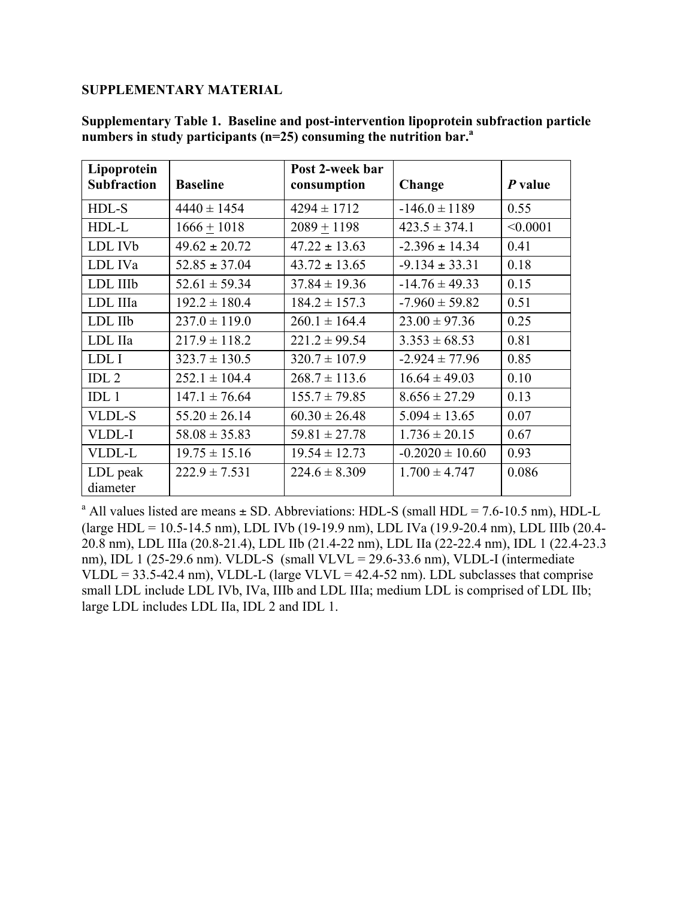# **SUPPLEMENTARY MATERIAL**

| P value<br>0.55 |
|-----------------|
|                 |
|                 |
| < 0.0001        |
| 0.41            |
| 0.18            |
| 0.15            |
| 0.51            |
| 0.25            |
| 0.81            |
| 0.85            |
| 0.10            |
| 0.13            |
| 0.07            |
| 0.67            |
| 0.93            |
| 0.086           |
|                 |

**Supplementary Table 1. Baseline and post-intervention lipoprotein subfraction particle**  numbers in study participants (n=25) consuming the nutrition bar.<sup>a</sup>

<sup>a</sup> All values listed are means  $\pm$  SD. Abbreviations: HDL-S (small HDL = 7.6-10.5 nm), HDL-L (large HDL = 10.5-14.5 nm), LDL IVb (19-19.9 nm), LDL IVa (19.9-20.4 nm), LDL IIIb (20.4- 20.8 nm), LDL IIIa (20.8-21.4), LDL IIb (21.4-22 nm), LDL IIa (22-22.4 nm), IDL 1 (22.4-23.3 nm), IDL 1 (25-29.6 nm). VLDL-S (small VLVL = 29.6-33.6 nm), VLDL-I (intermediate VLDL =  $33.5-42.4$  nm), VLDL-L (large VLVL =  $42.4-52$  nm). LDL subclasses that comprise small LDL include LDL IVb, IVa, IIIb and LDL IIIa; medium LDL is comprised of LDL IIb; large LDL includes LDL IIa, IDL 2 and IDL 1.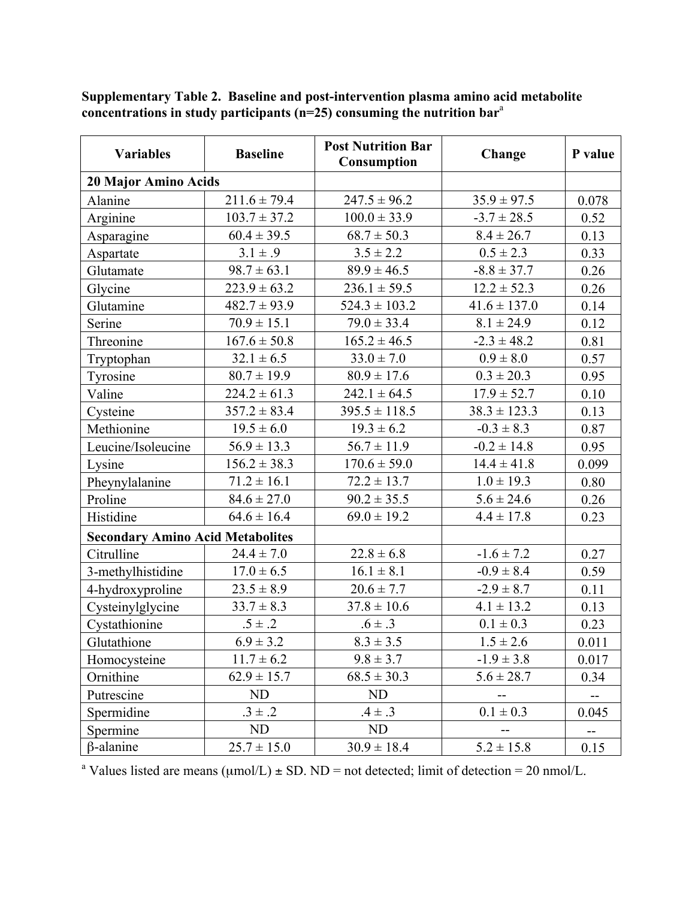**Supplementary Table 2. Baseline and post-intervention plasma amino acid metabolite concentrations in study participants (n=25) consuming the nutrition bar**<sup>a</sup>

| <b>Variables</b>                        | <b>Baseline</b>  |                   | Change            | P value |
|-----------------------------------------|------------------|-------------------|-------------------|---------|
| 20 Major Amino Acids                    |                  |                   |                   |         |
| Alanine                                 | $211.6 \pm 79.4$ | $247.5 \pm 96.2$  | $35.9 \pm 97.5$   | 0.078   |
| Arginine                                | $103.7 \pm 37.2$ | $100.0 \pm 33.9$  | $-3.7 \pm 28.5$   | 0.52    |
| Asparagine                              | $60.4 \pm 39.5$  | $68.7 \pm 50.3$   | $8.4 \pm 26.7$    | 0.13    |
| Aspartate                               | $3.1 \pm .9$     | $3.5 \pm 2.2$     | $0.5 \pm 2.3$     | 0.33    |
| Glutamate                               | $98.7 \pm 63.1$  | $89.9 \pm 46.5$   | $-8.8 \pm 37.7$   | 0.26    |
| Glycine                                 | $223.9 \pm 63.2$ | $236.1 \pm 59.5$  | $12.2 \pm 52.3$   | 0.26    |
| Glutamine                               | $482.7 \pm 93.9$ | $524.3 \pm 103.2$ | $41.6 \pm 137.0$  | 0.14    |
| Serine                                  | $70.9 \pm 15.1$  | $79.0 \pm 33.4$   | $8.1 \pm 24.9$    | 0.12    |
| Threonine                               | $167.6 \pm 50.8$ | $165.2 \pm 46.5$  | $-2.3 \pm 48.2$   | 0.81    |
| Tryptophan                              | $32.1 \pm 6.5$   | $33.0 \pm 7.0$    | $0.9 \pm 8.0$     | 0.57    |
| Tyrosine                                | $80.7 \pm 19.9$  | $80.9 \pm 17.6$   | $0.3 \pm 20.3$    | 0.95    |
| Valine                                  | $224.2 \pm 61.3$ | $242.1 \pm 64.5$  | $17.9 \pm 52.7$   | 0.10    |
| Cysteine                                | $357.2 \pm 83.4$ | $395.5 \pm 118.5$ | $38.3 \pm 123.3$  | 0.13    |
| Methionine                              | $19.5 \pm 6.0$   | $19.3 \pm 6.2$    | $-0.3 \pm 8.3$    | 0.87    |
| Leucine/Isoleucine                      | $56.9 \pm 13.3$  | $56.7 \pm 11.9$   | $-0.2 \pm 14.8$   | 0.95    |
| Lysine                                  | $156.2 \pm 38.3$ | $170.6 \pm 59.0$  | $14.4 \pm 41.8$   | 0.099   |
| Pheynylalanine                          | $71.2 \pm 16.1$  | $72.2 \pm 13.7$   | $1.0 \pm 19.3$    | 0.80    |
| Proline                                 | $84.6 \pm 27.0$  | $90.2 \pm 35.5$   | $5.6 \pm 24.6$    | 0.26    |
| Histidine                               | $64.6 \pm 16.4$  |                   | $4.4 \pm 17.8$    | 0.23    |
| <b>Secondary Amino Acid Metabolites</b> |                  |                   |                   |         |
| Citrulline                              | $24.4 \pm 7.0$   | $22.8 \pm 6.8$    | $-1.6 \pm 7.2$    | 0.27    |
| 3-methylhistidine                       | $17.0 \pm 6.5$   | $16.1 \pm 8.1$    | $-0.9 \pm 8.4$    | 0.59    |
| 4-hydroxyproline                        | $23.5 \pm 8.9$   | $20.6 \pm 7.7$    | $-2.9 \pm 8.7$    | 0.11    |
| Cysteinylglycine                        | $33.7 \pm 8.3$   | $37.8 \pm 10.6$   | $4.1 \pm 13.2$    | 0.13    |
| Cystathionine                           | $.5 \pm .2$      | $.6 \pm .3$       | $0.1 \pm 0.3$     | 0.23    |
| Glutathione                             | $6.9 \pm 3.2$    | $8.3 \pm 3.5$     | $1.5 \pm 2.6$     | 0.011   |
| Homocysteine                            | $11.7 \pm 6.2$   | $9.8 \pm 3.7$     | $-1.9 \pm 3.8$    | 0.017   |
| Ornithine                               | $62.9 \pm 15.7$  | $68.5 \pm 30.3$   | $5.6 \pm 28.7$    | 0.34    |
| Putrescine                              | ND               | ND                | $\qquad \qquad -$ |         |
| Spermidine                              | $.3 \pm .2$      | $.4 \pm .3$       | $0.1 \pm 0.3$     | 0.045   |
| Spermine                                | ND               | ND                |                   | $-$     |
| $\beta$ -alanine                        | $25.7 \pm 15.0$  | $30.9 \pm 18.4$   | $5.2 \pm 15.8$    | 0.15    |

<sup>a</sup> Values listed are means ( $\mu$ mol/L)  $\pm$  SD. ND = not detected; limit of detection = 20 nmol/L.